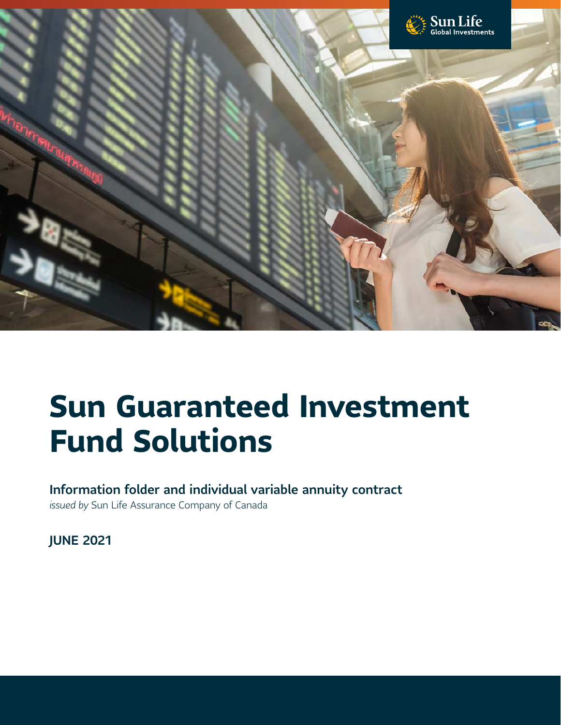

# **Sun Guaranteed Investment Fund Solutions**

### Information folder and individual variable annuity contract

*issued by* Sun Life Assurance Company of Canada

JUNE 2021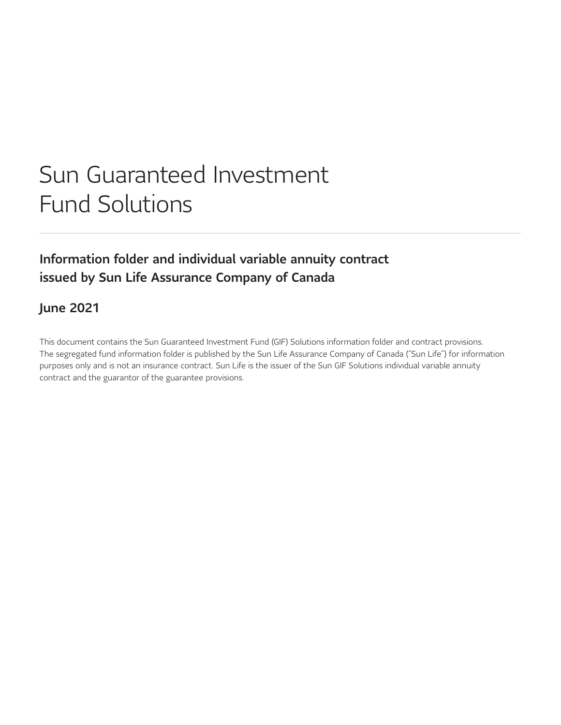# Sun Guaranteed Investment Fund Solutions

## Information folder and individual variable annuity contract issued by Sun Life Assurance Company of Canada

### June 2021

This document contains the Sun Guaranteed Investment Fund (GIF) Solutions information folder and contract provisions. The segregated fund information folder is published by the Sun Life Assurance Company of Canada ("Sun Life") for information purposes only and is not an insurance contract. Sun Life is the issuer of the Sun GIF Solutions individual variable annuity contract and the guarantor of the guarantee provisions.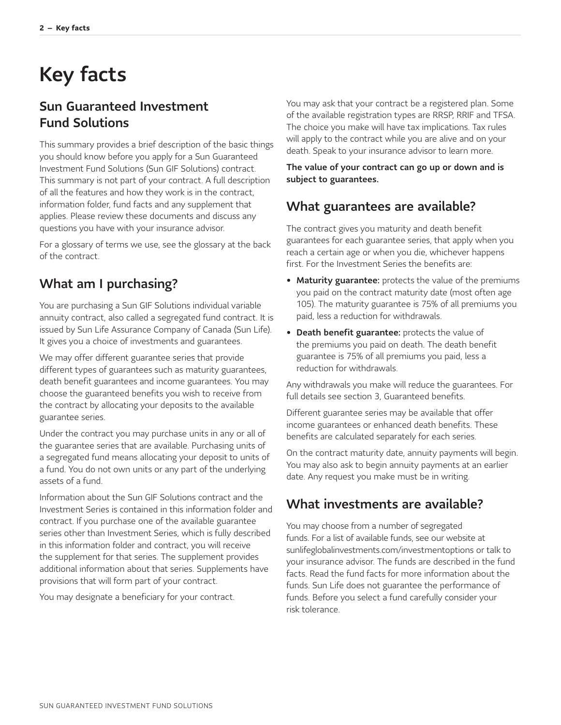# <span id="page-2-0"></span>Key facts

### Sun Guaranteed Investment Fund Solutions

This summary provides a brief description of the basic things you should know before you apply for a Sun Guaranteed Investment Fund Solutions (Sun GIF Solutions) contract. This summary is not part of your contract. A full description of all the features and how they work is in the contract, information folder, fund facts and any supplement that applies. Please review these documents and discuss any questions you have with your insurance advisor.

For a glossary of terms we use, see the glossary at the back of the contract.

## What am I purchasing?

You are purchasing a Sun GIF Solutions individual variable annuity contract, also called a segregated fund contract. It is issued by Sun Life Assurance Company of Canada (Sun Life). It gives you a choice of investments and guarantees.

We may offer different guarantee series that provide different types of guarantees such as maturity guarantees, death benefit guarantees and income guarantees. You may choose the guaranteed benefits you wish to receive from the contract by allocating your deposits to the available guarantee series.

Under the contract you may purchase units in any or all of the guarantee series that are available. Purchasing units of a segregated fund means allocating your deposit to units of a fund. You do not own units or any part of the underlying assets of a fund.

Information about the Sun GIF Solutions contract and the Investment Series is contained in this information folder and contract. If you purchase one of the available guarantee series other than Investment Series, which is fully described in this information folder and contract, you will receive the supplement for that series. The supplement provides additional information about that series. Supplements have provisions that will form part of your contract.

You may designate a beneficiary for your contract.

You may ask that your contract be a registered plan. Some of the available registration types are RRSP, RRIF and TFSA. The choice you make will have tax implications. Tax rules will apply to the contract while you are alive and on your death. Speak to your insurance advisor to learn more.

The value of your contract can go up or down and is subject to guarantees.

### What guarantees are available?

The contract gives you maturity and death benefit guarantees for each guarantee series, that apply when you reach a certain age or when you die, whichever happens first. For the Investment Series the benefits are:

- Maturity guarantee: protects the value of the premiums you paid on the contract maturity date (most often age 105). The maturity guarantee is 75% of all premiums you paid, less a reduction for withdrawals.
- Death benefit guarantee: protects the value of the premiums you paid on death. The death benefit guarantee is 75% of all premiums you paid, less a reduction for withdrawals.

Any withdrawals you make will reduce the guarantees. For full details see section 3, Guaranteed benefits.

Different guarantee series may be available that offer income guarantees or enhanced death benefits. These benefits are calculated separately for each series.

On the contract maturity date, annuity payments will begin. You may also ask to begin annuity payments at an earlier date. Any request you make must be in writing.

### What investments are available?

You may choose from a number of segregated funds. For a list of available funds, see our website at [sunlifeglobalinvestments.com/investmentoptions](http://sunlifeglobalinvestments.com/investmentoptions) or talk to your insurance advisor. The funds are described in the fund facts. Read the fund facts for more information about the funds. Sun Life does not guarantee the performance of funds. Before you select a fund carefully consider your risk tolerance.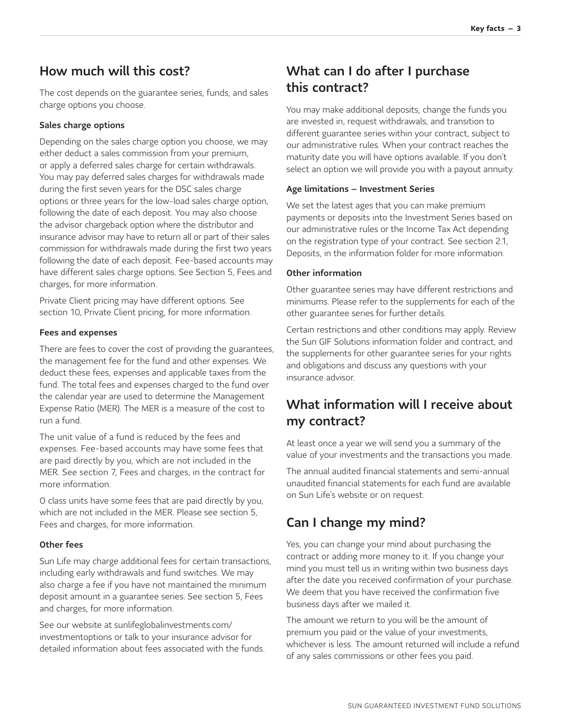### How much will this cost?

The cost depends on the guarantee series, funds, and sales charge options you choose.

#### Sales charge options

Depending on the sales charge option you choose, we may either deduct a sales commission from your premium, or apply a deferred sales charge for certain withdrawals. You may pay deferred sales charges for withdrawals made during the first seven years for the DSC sales charge options or three years for the low-load sales charge option, following the date of each deposit. You may also choose the advisor chargeback option where the distributor and insurance advisor may have to return all or part of their sales commission for withdrawals made during the first two years following the date of each deposit. Fee-based accounts may have different sales charge options. See Section 5, Fees and charges, for more information.

Private Client pricing may have different options. See section 10, Private Client pricing, for more information.

#### Fees and expenses

There are fees to cover the cost of providing the guarantees, the management fee for the fund and other expenses. We deduct these fees, expenses and applicable taxes from the fund. The total fees and expenses charged to the fund over the calendar year are used to determine the Management Expense Ratio (MER). The MER is a measure of the cost to run a fund.

The unit value of a fund is reduced by the fees and expenses. Fee-based accounts may have some fees that are paid directly by you, which are not included in the MER. See section 7, Fees and charges, in the contract for more information.

O class units have some fees that are paid directly by you, which are not included in the MER. Please see section 5, Fees and charges, for more information.

#### Other fees

Sun Life may charge additional fees for certain transactions, including early withdrawals and fund switches. We may also charge a fee if you have not maintained the minimum deposit amount in a guarantee series. See section 5, Fees and charges, for more information.

[See our website at sunlifeglobalinvestments.com/](http://sunlifeglobalinvestments.com/investmentoptions) investmentoptions or talk to your insurance advisor for detailed information about fees associated with the funds.

### What can I do after I purchase this contract?

You may make additional deposits, change the funds you are invested in, request withdrawals, and transition to different guarantee series within your contract, subject to our administrative rules. When your contract reaches the maturity date you will have options available. If you don't select an option we will provide you with a payout annuity.

#### Age limitations – Investment Series

We set the latest ages that you can make premium payments or deposits into the Investment Series based on our administrative rules or the Income Tax Act depending on the registration type of your contract. See section 2.1, Deposits, in the information folder for more information.

#### Other information

Other guarantee series may have different restrictions and minimums. Please refer to the supplements for each of the other guarantee series for further details.

Certain restrictions and other conditions may apply. Review the Sun GIF Solutions information folder and contract, and the supplements for other guarantee series for your rights and obligations and discuss any questions with your insurance advisor.

## What information will I receive about my contract?

At least once a year we will send you a summary of the value of your investments and the transactions you made.

The annual audited financial statements and semi-annual unaudited financial statements for each fund are available on Sun Life's website or on request.

## Can I change my mind?

Yes, you can change your mind about purchasing the contract or adding more money to it. If you change your mind you must tell us in writing within two business days after the date you received confirmation of your purchase. We deem that you have received the confirmation five business days after we mailed it.

The amount we return to you will be the amount of premium you paid or the value of your investments, whichever is less. The amount returned will include a refund of any sales commissions or other fees you paid.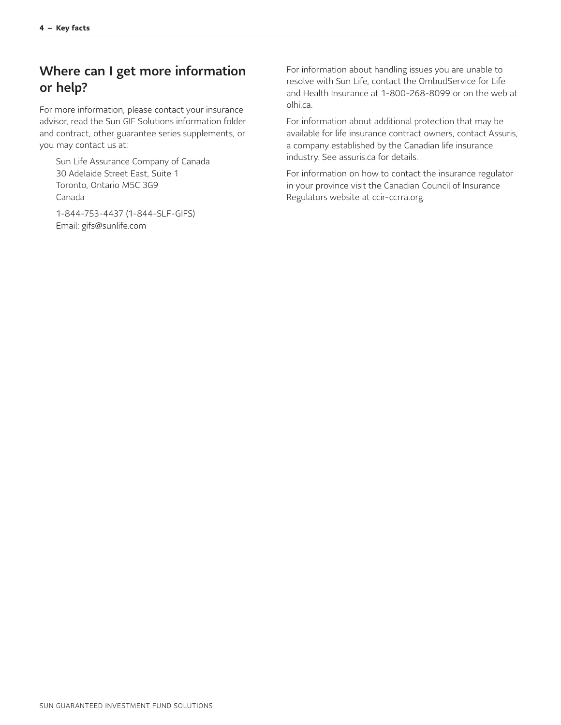## Where can I get more information or help?

For more information, please contact your insurance advisor, read the Sun GIF Solutions information folder and contract, other guarantee series supplements, or you may contact us at:

Sun Life Assurance Company of Canada 30 Adelaide Street East, Suite 1 Toronto, Ontario M5C 3G9 Canada

1-844-753-4437 (1-844-SLF-GIFS) Email: [gifs@sunlife.com](mailto:gifs@sunlife.com)

For information about handling issues you are unable to resolve with Sun Life, contact the OmbudService for Life and Health Insurance at 1-800-268-8099 or on the web at <olhi.ca>.

For information about additional protection that may be available for life insurance contract owners, contact Assuris, a company established by the Canadian life insurance industry. See [assuris.ca](http://assuris.ca) for details.

For information on how to contact the insurance regulator in your province visit the Canadian Council of Insurance Regulators website at [ccir-ccrra.org.](http://ccir-ccrra.org)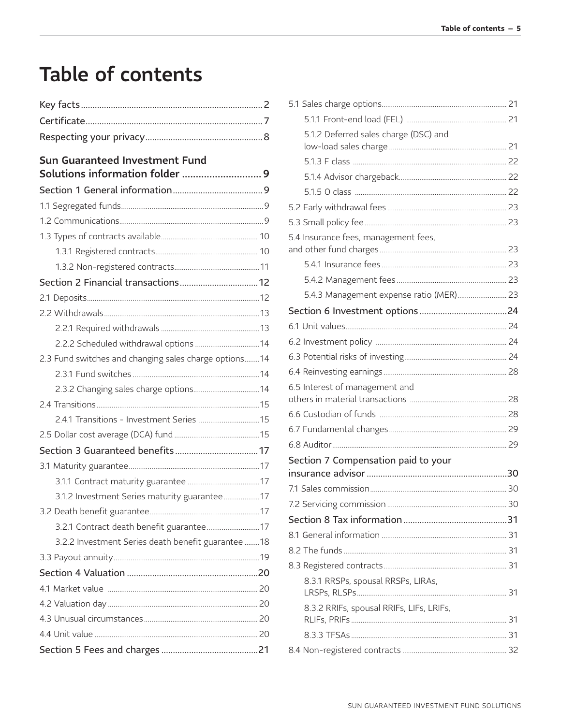# Table of contents

| <b>Sun Guaranteed Investment Fund</b>                 |
|-------------------------------------------------------|
| Solutions information folder  9                       |
|                                                       |
|                                                       |
|                                                       |
|                                                       |
|                                                       |
|                                                       |
| Section 2 Financial transactions 12                   |
|                                                       |
|                                                       |
|                                                       |
| 2.2.2 Scheduled withdrawal options  14                |
| 2.3 Fund switches and changing sales charge options14 |
|                                                       |
|                                                       |
|                                                       |
|                                                       |
|                                                       |
|                                                       |
|                                                       |
|                                                       |
| 3.1.2 Investment Series maturity guarantee17          |
|                                                       |
| 3.2.1 Contract death benefit guarantee 17             |
| 3.2.2 Investment Series death benefit guarantee  18   |
|                                                       |
|                                                       |
|                                                       |
|                                                       |
|                                                       |
|                                                       |
|                                                       |

| 5.1.2 Deferred sales charge (DSC) and    |  |
|------------------------------------------|--|
|                                          |  |
|                                          |  |
|                                          |  |
|                                          |  |
|                                          |  |
| 5.4 Insurance fees, management fees,     |  |
|                                          |  |
|                                          |  |
| 5.4.3 Management expense ratio (MER) 23  |  |
|                                          |  |
|                                          |  |
|                                          |  |
|                                          |  |
|                                          |  |
| 6.5 Interest of management and           |  |
|                                          |  |
|                                          |  |
|                                          |  |
| Section 7 Compensation paid to your      |  |
|                                          |  |
|                                          |  |
|                                          |  |
|                                          |  |
|                                          |  |
|                                          |  |
|                                          |  |
| 8.3.1 RRSPs, spousal RRSPs, LIRAs,       |  |
| 8.3.2 RRIFs, spousal RRIFs, LIFs, LRIFs, |  |
|                                          |  |
|                                          |  |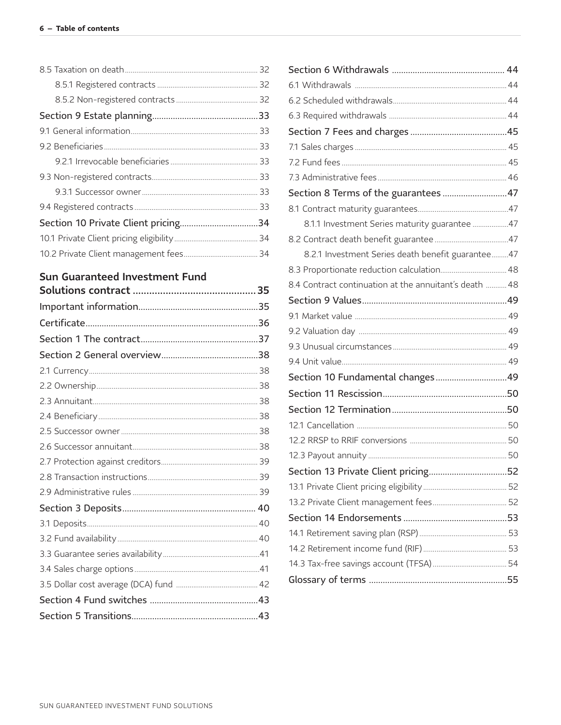## Sun Guaranteed Investment Fund

| Section 8 Terms of the guarantees  47                  |  |
|--------------------------------------------------------|--|
|                                                        |  |
| 8.1.1 Investment Series maturity guarantee 47          |  |
|                                                        |  |
| 8.2.1 Investment Series death benefit guarantee47      |  |
|                                                        |  |
| 8.4 Contract continuation at the annuitant's death  48 |  |
|                                                        |  |
|                                                        |  |
|                                                        |  |
|                                                        |  |
|                                                        |  |
| Section 10 Fundamental changes49                       |  |
|                                                        |  |
|                                                        |  |
|                                                        |  |
|                                                        |  |
|                                                        |  |
| Section 13 Private Client pricing52                    |  |
|                                                        |  |
|                                                        |  |
|                                                        |  |
|                                                        |  |
|                                                        |  |
|                                                        |  |
|                                                        |  |
|                                                        |  |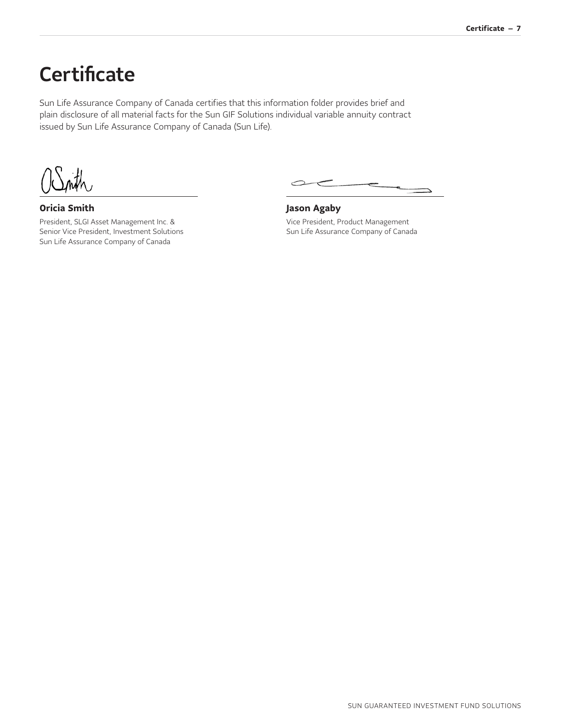# <span id="page-7-0"></span>**Certificate**

Sun Life Assurance Company of Canada certifies that this information folder provides brief and plain disclosure of all material facts for the Sun GIF Solutions individual variable annuity contract issued by Sun Life Assurance Company of Canada (Sun Life).

**Oricia Smith**

President, SLGI Asset Management Inc. & Senior Vice President, Investment Solutions Sun Life Assurance Company of Canada

 $\sim$ 

**Jason Agaby** Vice President, Product Management Sun Life Assurance Company of Canada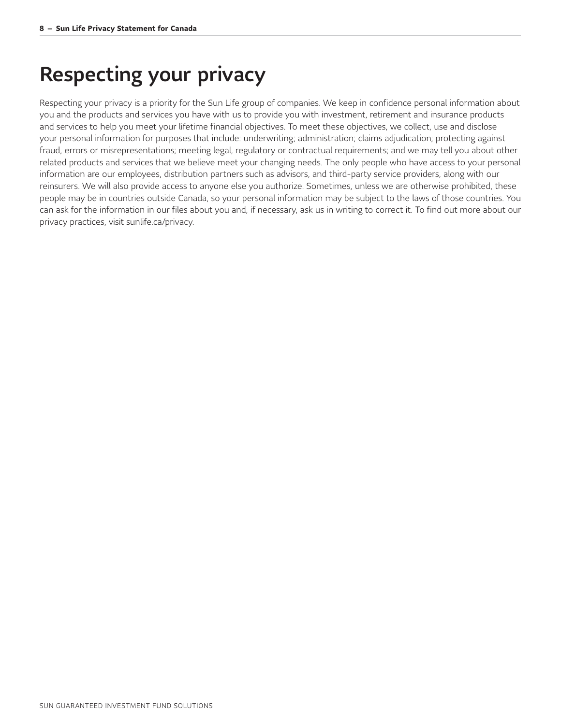# <span id="page-8-0"></span>Respecting your privacy

Respecting your privacy is a priority for the Sun Life group of companies. We keep in confidence personal information about you and the products and services you have with us to provide you with investment, retirement and insurance products and services to help you meet your lifetime financial objectives. To meet these objectives, we collect, use and disclose your personal information for purposes that include: underwriting; administration; claims adjudication; protecting against fraud, errors or misrepresentations; meeting legal, regulatory or contractual requirements; and we may tell you about other related products and services that we believe meet your changing needs. The only people who have access to your personal information are our employees, distribution partners such as advisors, and third-party service providers, along with our reinsurers. We will also provide access to anyone else you authorize. Sometimes, unless we are otherwise prohibited, these people may be in countries outside Canada, so your personal information may be subject to the laws of those countries. You can ask for the information in our files about you and, if necessary, ask us in writing to correct it. To find out more about our privacy practices, visit [sunlife.ca/privacy.](http://sunlife.ca/privacy)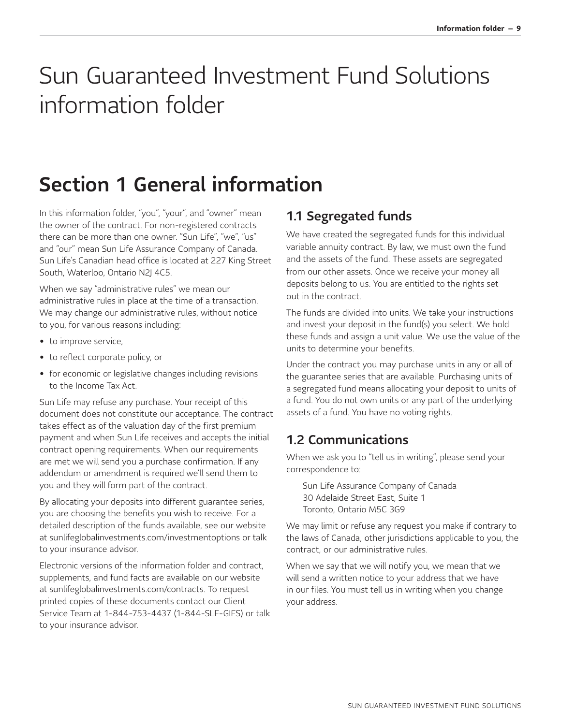# <span id="page-9-0"></span>Sun Guaranteed Investment Fund Solutions information folder

# <span id="page-9-1"></span>Section 1 General information

In this information folder, "you", "your", and "owner" mean the owner of the contract. For non-registered contracts there can be more than one owner. "Sun Life", "we", "us" and "our" mean Sun Life Assurance Company of Canada. Sun Life's Canadian head office is located at 227 King Street South, Waterloo, Ontario N2J 4C5.

When we say "administrative rules" we mean our administrative rules in place at the time of a transaction. We may change our administrative rules, without notice to you, for various reasons including:

- to improve service,
- to reflect corporate policy, or
- for economic or legislative changes including revisions to the Income Tax Act.

Sun Life may refuse any purchase. Your receipt of this document does not constitute our acceptance. The contract takes effect as of the valuation day of the first premium payment and when Sun Life receives and accepts the initial contract opening requirements. When our requirements are met we will send you a purchase confirmation. If any addendum or amendment is required we'll send them to you and they will form part of the contract.

By allocating your deposits into different guarantee series, you are choosing the benefits you wish to receive. For a detailed description of the funds available, see our website at [sunlifeglobalinvestments.com/investmentoptions](http://sunlifeglobalinvestments.com/investmentoptions) or talk to your insurance advisor.

Electronic versions of the information folder and contract, supplements, and fund facts are available on our website at [sunlifeglobalinvestments.com/contracts](http://sunlifeglobalinvestments.com/contracts). To request printed copies of these documents contact our Client Service Team at 1-844-753-4437 (1-844-SLF-GIFS) or talk to your insurance advisor.

## <span id="page-9-2"></span>1.1 Segregated funds

We have created the segregated funds for this individual variable annuity contract. By law, we must own the fund and the assets of the fund. These assets are segregated from our other assets. Once we receive your money all deposits belong to us. You are entitled to the rights set out in the contract.

The funds are divided into units. We take your instructions and invest your deposit in the fund(s) you select. We hold these funds and assign a unit value. We use the value of the units to determine your benefits.

Under the contract you may purchase units in any or all of the guarantee series that are available. Purchasing units of a segregated fund means allocating your deposit to units of a fund. You do not own units or any part of the underlying assets of a fund. You have no voting rights.

## <span id="page-9-3"></span>1.2 Communications

When we ask you to "tell us in writing", please send your correspondence to:

Sun Life Assurance Company of Canada 30 Adelaide Street East, Suite 1 Toronto, Ontario M5C 3G9

We may limit or refuse any request you make if contrary to the laws of Canada, other jurisdictions applicable to you, the contract, or our administrative rules.

When we say that we will notify you, we mean that we will send a written notice to your address that we have in our files. You must tell us in writing when you change your address.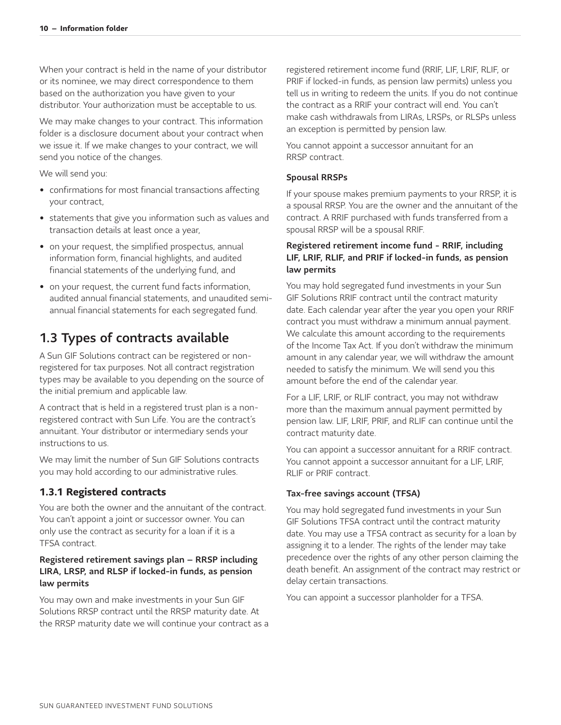When your contract is held in the name of your distributor or its nominee, we may direct correspondence to them based on the authorization you have given to your distributor. Your authorization must be acceptable to us.

We may make changes to your contract. This information folder is a disclosure document about your contract when we issue it. If we make changes to your contract, we will send you notice of the changes.

We will send you:

- confirmations for most financial transactions affecting your contract,
- statements that give you information such as values and transaction details at least once a year,
- on your request, the simplified prospectus, annual information form, financial highlights, and audited financial statements of the underlying fund, and
- on your request, the current fund facts information, audited annual financial statements, and unaudited semiannual financial statements for each segregated fund.

### <span id="page-10-0"></span>1.3 Types of contracts available

A Sun GIF Solutions contract can be registered or nonregistered for tax purposes. Not all contract registration types may be available to you depending on the source of the initial premium and applicable law.

A contract that is held in a registered trust plan is a nonregistered contract with Sun Life. You are the contract's annuitant. Your distributor or intermediary sends your instructions to us.

We may limit the number of Sun GIF Solutions contracts you may hold according to our administrative rules.

#### <span id="page-10-1"></span>**1.3.1 Registered contracts**

You are both the owner and the annuitant of the contract. You can't appoint a joint or successor owner. You can only use the contract as security for a loan if it is a TFSA contract.

#### Registered retirement savings plan – RRSP including LIRA, LRSP, and RLSP if locked-in funds, as pension law permits

You may own and make investments in your Sun GIF Solutions RRSP contract until the RRSP maturity date. At the RRSP maturity date we will continue your contract as a registered retirement income fund (RRIF, LIF, LRIF, RLIF, or PRIF if locked-in funds, as pension law permits) unless you tell us in writing to redeem the units. If you do not continue the contract as a RRIF your contract will end. You can't make cash withdrawals from LIRAs, LRSPs, or RLSPs unless an exception is permitted by pension law.

You cannot appoint a successor annuitant for an RRSP contract.

#### Spousal RRSPs

If your spouse makes premium payments to your RRSP, it is a spousal RRSP. You are the owner and the annuitant of the contract. A RRIF purchased with funds transferred from a spousal RRSP will be a spousal RRIF.

#### Registered retirement income fund - RRIF, including LIF, LRIF, RLIF, and PRIF if locked-in funds, as pension law permits

You may hold segregated fund investments in your Sun GIF Solutions RRIF contract until the contract maturity date. Each calendar year after the year you open your RRIF contract you must withdraw a minimum annual payment. We calculate this amount according to the requirements of the Income Tax Act. If you don't withdraw the minimum amount in any calendar year, we will withdraw the amount needed to satisfy the minimum. We will send you this amount before the end of the calendar year.

For a LIF, LRIF, or RLIF contract, you may not withdraw more than the maximum annual payment permitted by pension law. LIF, LRIF, PRIF, and RLIF can continue until the contract maturity date.

You can appoint a successor annuitant for a RRIF contract. You cannot appoint a successor annuitant for a LIF, LRIF, RLIF or PRIF contract.

#### Tax-free savings account (TFSA)

You may hold segregated fund investments in your Sun GIF Solutions TFSA contract until the contract maturity date. You may use a TFSA contract as security for a loan by assigning it to a lender. The rights of the lender may take precedence over the rights of any other person claiming the death benefit. An assignment of the contract may restrict or delay certain transactions.

You can appoint a successor planholder for a TFSA.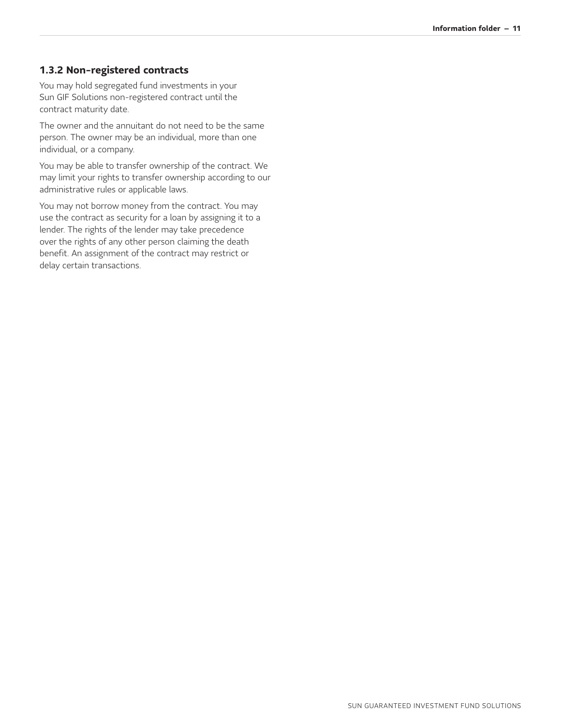#### <span id="page-11-0"></span>**1.3.2 Non-registered contracts**

You may hold segregated fund investments in your Sun GIF Solutions non-registered contract until the contract maturity date.

The owner and the annuitant do not need to be the same person. The owner may be an individual, more than one individual, or a company.

You may be able to transfer ownership of the contract. We may limit your rights to transfer ownership according to our administrative rules or applicable laws.

You may not borrow money from the contract. You may use the contract as security for a loan by assigning it to a lender. The rights of the lender may take precedence over the rights of any other person claiming the death benefit. An assignment of the contract may restrict or delay certain transactions.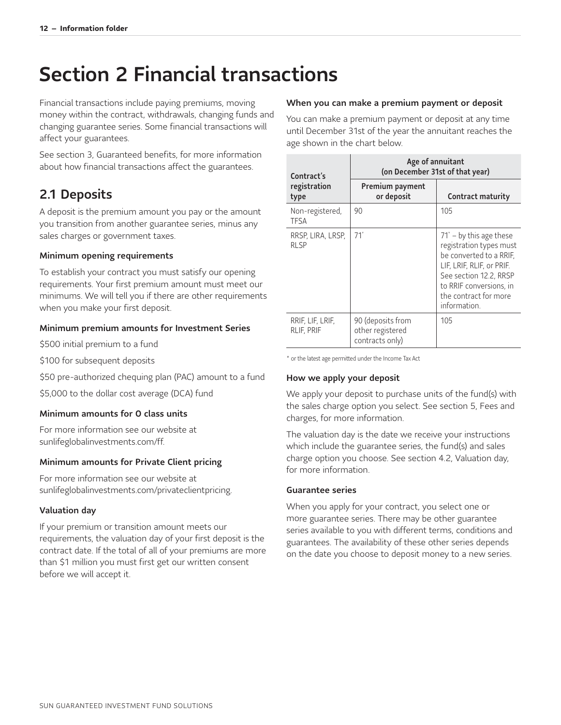# <span id="page-12-0"></span>Section 2 Financial transactions

Financial transactions include paying premiums, moving money within the contract, withdrawals, changing funds and changing guarantee series. Some financial transactions will affect your guarantees.

See section 3, Guaranteed benefits, for more information about how financial transactions affect the guarantees.

## <span id="page-12-1"></span>2.1 Deposits

A deposit is the premium amount you pay or the amount you transition from another guarantee series, minus any sales charges or government taxes.

#### Minimum opening requirements

To establish your contract you must satisfy our opening requirements. Your first premium amount must meet our minimums. We will tell you if there are other requirements when you make your first deposit.

#### Minimum premium amounts for Investment Series

\$500 initial premium to a fund

\$100 for subsequent deposits

\$50 pre-authorized chequing plan (PAC) amount to a fund

\$5,000 to the dollar cost average (DCA) fund

#### Minimum amounts for O class units

For more information see our website at [sunlifeglobalinvestments.com/ff.](http://sunlifeglobalinvestments.com/ff)

#### Minimum amounts for Private Client pricing

For more information see our website at [sunlifeglobalinvestments.com/privateclientpricing](http://sunlifeglobalinvestments.com/privateclientpricing).

#### Valuation day

If your premium or transition amount meets our requirements, the valuation day of your first deposit is the contract date. If the total of all of your premiums are more than \$1 million you must first get our written consent before we will accept it.

#### When you can make a premium payment or deposit

You can make a premium payment or deposit at any time until December 31st of the year the annuitant reaches the age shown in the chart below.

| Contract's                            | Age of annuitant<br>(on December 31st of that year)      |                                                                                                                                                                                                                   |
|---------------------------------------|----------------------------------------------------------|-------------------------------------------------------------------------------------------------------------------------------------------------------------------------------------------------------------------|
| registration<br>type                  | Premium payment<br>or deposit                            | <b>Contract maturity</b>                                                                                                                                                                                          |
| Non-registered,<br>TFSA               | 90                                                       | 105                                                                                                                                                                                                               |
| RRSP, LIRA, LRSP,<br><b>RLSP</b>      | $71*$                                                    | $71^{\circ}$ – by this age these<br>registration types must<br>be converted to a RRIF,<br>LIF, LRIF, RLIF, or PRIF.<br>See section 12.2, RRSP<br>to RRIF conversions, in<br>the contract for more<br>information. |
| RRIF, LIF, LRIF,<br><b>RLIF, PRIF</b> | 90 (deposits from<br>other registered<br>contracts only) | 105                                                                                                                                                                                                               |

<span id="page-12-2"></span>\* or the latest age permitted under the Income Tax Act

#### How we apply your deposit

We apply your deposit to purchase units of the fund(s) with the sales charge option you select. See section 5, Fees and charges, for more information.

The valuation day is the date we receive your instructions which include the guarantee series, the fund(s) and sales charge option you choose. See section 4.2, Valuation day, for more information.

#### Guarantee series

When you apply for your contract, you select one or more guarantee series. There may be other guarantee series available to you with different terms, conditions and guarantees. The availability of these other series depends on the date you choose to deposit money to a new series.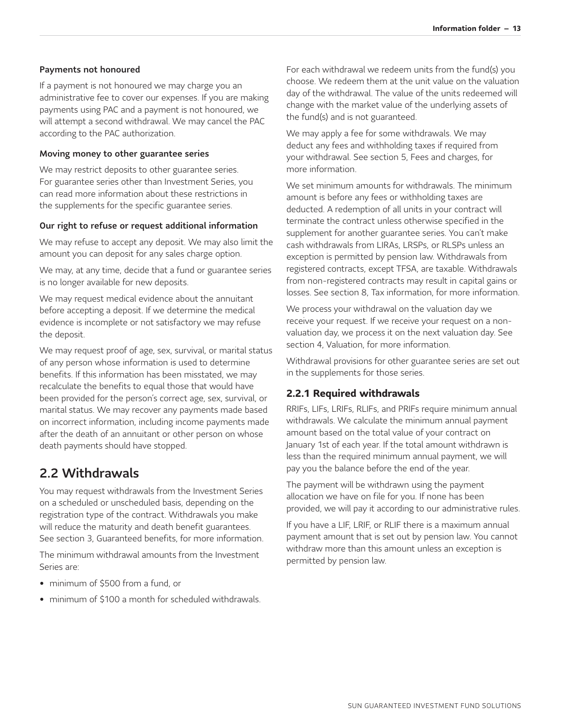#### Payments not honoured

If a payment is not honoured we may charge you an administrative fee to cover our expenses. If you are making payments using PAC and a payment is not honoured, we will attempt a second withdrawal. We may cancel the PAC according to the PAC authorization.

#### Moving money to other guarantee series

We may restrict deposits to other guarantee series. For guarantee series other than Investment Series, you can read more information about these restrictions in the supplements for the specific guarantee series.

#### Our right to refuse or request additional information

We may refuse to accept any deposit. We may also limit the amount you can deposit for any sales charge option.

We may, at any time, decide that a fund or guarantee series is no longer available for new deposits.

We may request medical evidence about the annuitant before accepting a deposit. If we determine the medical evidence is incomplete or not satisfactory we may refuse the deposit.

We may request proof of age, sex, survival, or marital status of any person whose information is used to determine benefits. If this information has been misstated, we may recalculate the benefits to equal those that would have been provided for the person's correct age, sex, survival, or marital status. We may recover any payments made based on incorrect information, including income payments made after the death of an annuitant or other person on whose death payments should have stopped.

### <span id="page-13-0"></span>2.2 Withdrawals

You may request withdrawals from the Investment Series on a scheduled or unscheduled basis, depending on the registration type of the contract. Withdrawals you make will reduce the maturity and death benefit guarantees. See section 3, Guaranteed benefits, for more information.

The minimum withdrawal amounts from the Investment Series are:

- minimum of \$500 from a fund, or
- minimum of \$100 a month for scheduled withdrawals.

For each withdrawal we redeem units from the fund(s) you choose. We redeem them at the unit value on the valuation day of the withdrawal. The value of the units redeemed will change with the market value of the underlying assets of the fund(s) and is not guaranteed.

We may apply a fee for some withdrawals. We may deduct any fees and withholding taxes if required from your withdrawal. See section 5, Fees and charges, for more information.

We set minimum amounts for withdrawals. The minimum amount is before any fees or withholding taxes are deducted. A redemption of all units in your contract will terminate the contract unless otherwise specified in the supplement for another guarantee series. You can't make cash withdrawals from LIRAs, LRSPs, or RLSPs unless an exception is permitted by pension law. Withdrawals from registered contracts, except TFSA, are taxable. Withdrawals from non-registered contracts may result in capital gains or losses. See section 8, Tax information, for more information.

We process your withdrawal on the valuation day we receive your request. If we receive your request on a nonvaluation day, we process it on the next valuation day. See section 4, Valuation, for more information.

Withdrawal provisions for other guarantee series are set out in the supplements for those series.

#### <span id="page-13-1"></span>**2.2.1 Required withdrawals**

RRIFs, LIFs, LRIFs, RLIFs, and PRIFs require minimum annual withdrawals. We calculate the minimum annual payment amount based on the total value of your contract on January 1st of each year. If the total amount withdrawn is less than the required minimum annual payment, we will pay you the balance before the end of the year.

The payment will be withdrawn using the payment allocation we have on file for you. If none has been provided, we will pay it according to our administrative rules.

If you have a LIF, LRIF, or RLIF there is a maximum annual payment amount that is set out by pension law. You cannot withdraw more than this amount unless an exception is permitted by pension law.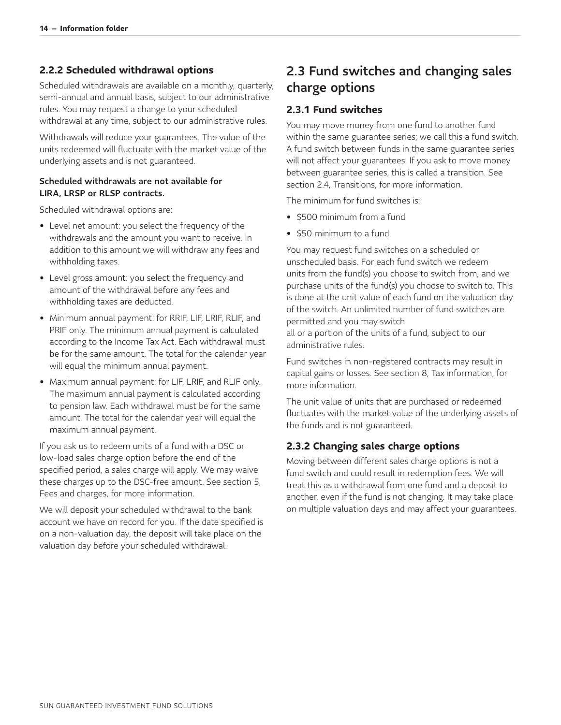#### <span id="page-14-0"></span>**2.2.2 Scheduled withdrawal options**

Scheduled withdrawals are available on a monthly, quarterly, semi-annual and annual basis, subject to our administrative rules. You may request a change to your scheduled withdrawal at any time, subject to our administrative rules.

Withdrawals will reduce your guarantees. The value of the units redeemed will fluctuate with the market value of the underlying assets and is not guaranteed.

#### Scheduled withdrawals are not available for LIRA, LRSP or RLSP contracts.

Scheduled withdrawal options are:

- Level net amount: you select the frequency of the withdrawals and the amount you want to receive. In addition to this amount we will withdraw any fees and withholding taxes.
- Level gross amount: you select the frequency and amount of the withdrawal before any fees and withholding taxes are deducted.
- Minimum annual payment: for RRIF, LIF, LRIF, RLIF, and PRIF only. The minimum annual payment is calculated according to the Income Tax Act. Each withdrawal must be for the same amount. The total for the calendar year will equal the minimum annual payment.
- Maximum annual payment: for LIF, LRIF, and RLIF only. The maximum annual payment is calculated according to pension law. Each withdrawal must be for the same amount. The total for the calendar year will equal the maximum annual payment.

If you ask us to redeem units of a fund with a DSC or low-load sales charge option before the end of the specified period, a sales charge will apply. We may waive these charges up to the DSC-free amount. See section 5, Fees and charges, for more information.

We will deposit your scheduled withdrawal to the bank account we have on record for you. If the date specified is on a non-valuation day, the deposit will take place on the valuation day before your scheduled withdrawal.

### <span id="page-14-1"></span>2.3 Fund switches and changing sales charge options

#### <span id="page-14-2"></span>**2.3.1 Fund switches**

You may move money from one fund to another fund within the same guarantee series; we call this a fund switch. A fund switch between funds in the same guarantee series will not affect your guarantees. If you ask to move money between guarantee series, this is called a transition. See section 2.4, Transitions, for more information.

The minimum for fund switches is:

- \$500 minimum from a fund
- \$50 minimum to a fund

You may request fund switches on a scheduled or unscheduled basis. For each fund switch we redeem units from the fund(s) you choose to switch from, and we purchase units of the fund(s) you choose to switch to. This is done at the unit value of each fund on the valuation day of the switch. An unlimited number of fund switches are permitted and you may switch all or a portion of the units of a fund, subject to our administrative rules.

Fund switches in non-registered contracts may result in capital gains or losses. See section 8, Tax information, for more information.

The unit value of units that are purchased or redeemed fluctuates with the market value of the underlying assets of the funds and is not guaranteed.

#### <span id="page-14-3"></span>**2.3.2 Changing sales charge options**

Moving between different sales charge options is not a fund switch and could result in redemption fees. We will treat this as a withdrawal from one fund and a deposit to another, even if the fund is not changing. It may take place on multiple valuation days and may affect your guarantees.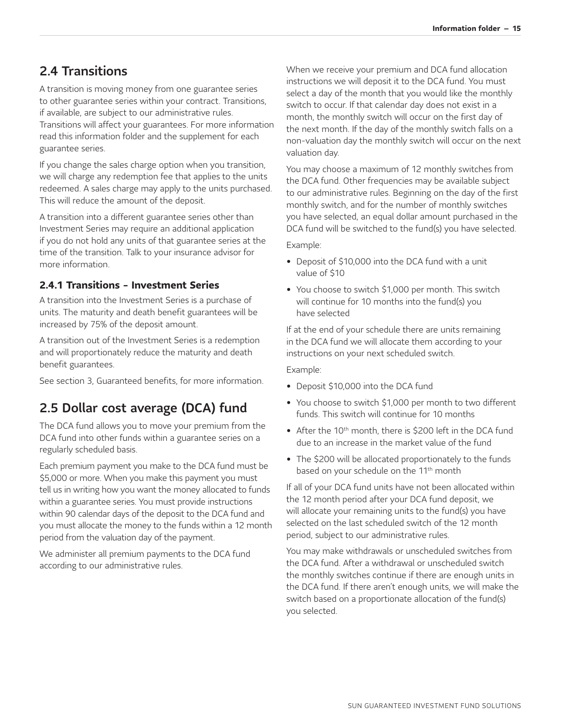### <span id="page-15-0"></span>2.4 Transitions

A transition is moving money from one guarantee series to other guarantee series within your contract. Transitions, if available, are subject to our administrative rules. Transitions will affect your guarantees. For more information read this information folder and the supplement for each guarantee series.

If you change the sales charge option when you transition, we will charge any redemption fee that applies to the units redeemed. A sales charge may apply to the units purchased. This will reduce the amount of the deposit.

A transition into a different guarantee series other than Investment Series may require an additional application if you do not hold any units of that guarantee series at the time of the transition. Talk to your insurance advisor for more information.

### <span id="page-15-1"></span>**2.4.1 Transitions - Investment Series**

A transition into the Investment Series is a purchase of units. The maturity and death benefit guarantees will be increased by 75% of the deposit amount.

A transition out of the Investment Series is a redemption and will proportionately reduce the maturity and death benefit guarantees.

See section 3, Guaranteed benefits, for more information.

## <span id="page-15-2"></span>2.5 Dollar cost average (DCA) fund

The DCA fund allows you to move your premium from the DCA fund into other funds within a guarantee series on a regularly scheduled basis.

Each premium payment you make to the DCA fund must be \$5,000 or more. When you make this payment you must tell us in writing how you want the money allocated to funds within a guarantee series. You must provide instructions within 90 calendar days of the deposit to the DCA fund and you must allocate the money to the funds within a 12 month period from the valuation day of the payment.

We administer all premium payments to the DCA fund according to our administrative rules.

When we receive your premium and DCA fund allocation instructions we will deposit it to the DCA fund. You must select a day of the month that you would like the monthly switch to occur. If that calendar day does not exist in a month, the monthly switch will occur on the first day of the next month. If the day of the monthly switch falls on a non-valuation day the monthly switch will occur on the next valuation day.

You may choose a maximum of 12 monthly switches from the DCA fund. Other frequencies may be available subject to our administrative rules. Beginning on the day of the first monthly switch, and for the number of monthly switches you have selected, an equal dollar amount purchased in the DCA fund will be switched to the fund(s) you have selected.

Example:

- Deposit of \$10,000 into the DCA fund with a unit value of \$10
- You choose to switch \$1,000 per month. This switch will continue for 10 months into the fund(s) you have selected

If at the end of your schedule there are units remaining in the DCA fund we will allocate them according to your instructions on your next scheduled switch.

Example:

- Deposit \$10,000 into the DCA fund
- You choose to switch \$1,000 per month to two different funds. This switch will continue for 10 months
- After the 10<sup>th</sup> month, there is \$200 left in the DCA fund due to an increase in the market value of the fund
- The \$200 will be allocated proportionately to the funds based on your schedule on the 11<sup>th</sup> month

If all of your DCA fund units have not been allocated within the 12 month period after your DCA fund deposit, we will allocate your remaining units to the fund(s) you have selected on the last scheduled switch of the 12 month period, subject to our administrative rules.

You may make withdrawals or unscheduled switches from the DCA fund. After a withdrawal or unscheduled switch the monthly switches continue if there are enough units in the DCA fund. If there aren't enough units, we will make the switch based on a proportionate allocation of the fund(s) you selected.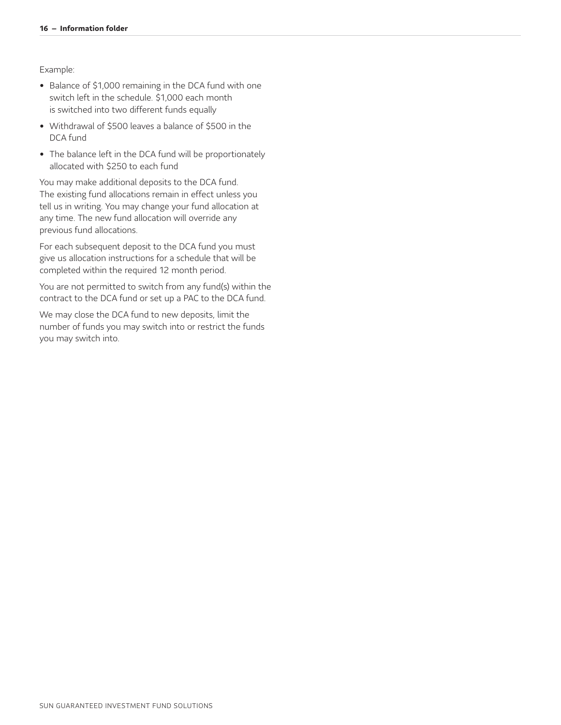Example:

- Balance of \$1,000 remaining in the DCA fund with one switch left in the schedule. \$1,000 each month is switched into two different funds equally
- Withdrawal of \$500 leaves a balance of \$500 in the DCA fund
- The balance left in the DCA fund will be proportionately allocated with \$250 to each fund

You may make additional deposits to the DCA fund. The existing fund allocations remain in effect unless you tell us in writing. You may change your fund allocation at any time. The new fund allocation will override any previous fund allocations.

For each subsequent deposit to the DCA fund you must give us allocation instructions for a schedule that will be completed within the required 12 month period.

You are not permitted to switch from any fund(s) within the contract to the DCA fund or set up a PAC to the DCA fund.

We may close the DCA fund to new deposits, limit the number of funds you may switch into or restrict the funds you may switch into.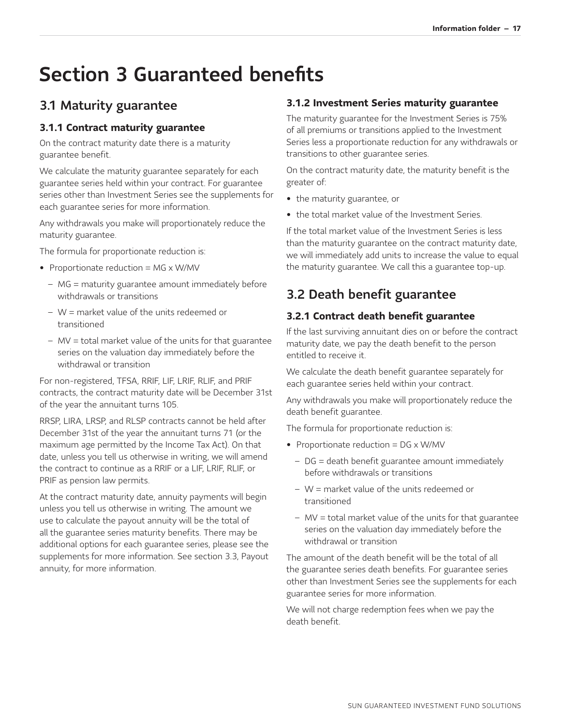# <span id="page-17-0"></span>Section 3 Guaranteed benefits

## <span id="page-17-1"></span>3.1 Maturity guarantee

### <span id="page-17-2"></span>**3.1.1 Contract maturity guarantee**

On the contract maturity date there is a maturity guarantee benefit.

We calculate the maturity guarantee separately for each guarantee series held within your contract. For guarantee series other than Investment Series see the supplements for each guarantee series for more information.

Any withdrawals you make will proportionately reduce the maturity guarantee.

The formula for proportionate reduction is:

- Proportionate reduction = MG x W/MV
	- − MG = maturity guarantee amount immediately before withdrawals or transitions
	- − W = market value of the units redeemed or transitioned
	- − MV = total market value of the units for that guarantee series on the valuation day immediately before the withdrawal or transition

For non-registered, TFSA, RRIF, LIF, LRIF, RLIF, and PRIF contracts, the contract maturity date will be December 31st of the year the annuitant turns 105.

RRSP, LIRA, LRSP, and RLSP contracts cannot be held after December 31st of the year the annuitant turns 71 (or the maximum age permitted by the Income Tax Act). On that date, unless you tell us otherwise in writing, we will amend the contract to continue as a RRIF or a LIF, LRIF, RLIF, or PRIF as pension law permits.

At the contract maturity date, annuity payments will begin unless you tell us otherwise in writing. The amount we use to calculate the payout annuity will be the total of all the guarantee series maturity benefits. There may be additional options for each guarantee series, please see the supplements for more information. See section 3.3, Payout annuity, for more information.

### <span id="page-17-3"></span>**3.1.2 Investment Series maturity guarantee**

The maturity guarantee for the Investment Series is 75% of all premiums or transitions applied to the Investment Series less a proportionate reduction for any withdrawals or transitions to other guarantee series.

On the contract maturity date, the maturity benefit is the greater of:

- the maturity guarantee, or
- the total market value of the Investment Series.

If the total market value of the Investment Series is less than the maturity guarantee on the contract maturity date, we will immediately add units to increase the value to equal the maturity guarantee. We call this a guarantee top-up.

## <span id="page-17-4"></span>3.2 Death benefit guarantee

### <span id="page-17-5"></span>**3.2.1 Contract death benefit guarantee**

If the last surviving annuitant dies on or before the contract maturity date, we pay the death benefit to the person entitled to receive it.

We calculate the death benefit guarantee separately for each guarantee series held within your contract.

Any withdrawals you make will proportionately reduce the death benefit guarantee.

The formula for proportionate reduction is:

- Proportionate reduction = DG x W/MV
	- − DG = death benefit guarantee amount immediately before withdrawals or transitions
	- − W = market value of the units redeemed or transitioned
	- − MV = total market value of the units for that guarantee series on the valuation day immediately before the withdrawal or transition

The amount of the death benefit will be the total of all the guarantee series death benefits. For guarantee series other than Investment Series see the supplements for each guarantee series for more information.

We will not charge redemption fees when we pay the death benefit.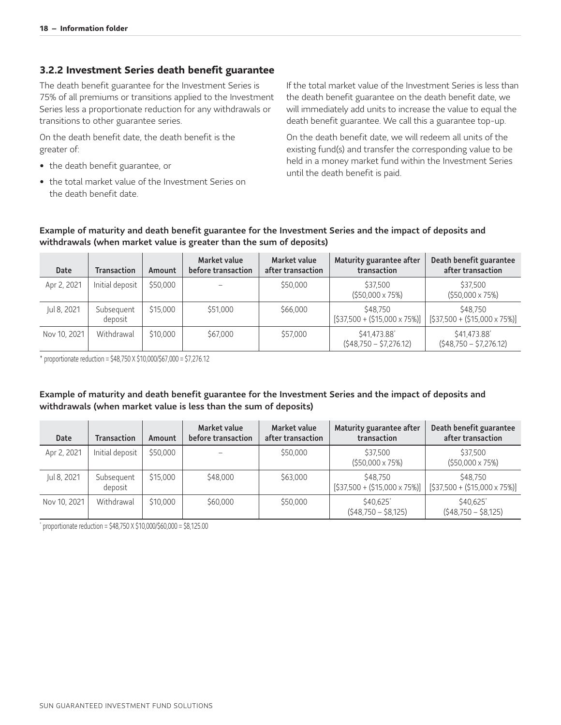#### <span id="page-18-0"></span>**3.2.2 Investment Series death benefit guarantee**

The death benefit guarantee for the Investment Series is 75% of all premiums or transitions applied to the Investment Series less a proportionate reduction for any withdrawals or transitions to other guarantee series.

On the death benefit date, the death benefit is the greater of:

- the death benefit guarantee, or
- the total market value of the Investment Series on the death benefit date.

If the total market value of the Investment Series is less than the death benefit guarantee on the death benefit date, we will immediately add units to increase the value to equal the death benefit guarantee. We call this a guarantee top-up.

On the death benefit date, we will redeem all units of the existing fund(s) and transfer the corresponding value to be held in a money market fund within the Investment Series until the death benefit is paid.

#### Example of maturity and death benefit guarantee for the Investment Series and the impact of deposits and withdrawals (when market value is greater than the sum of deposits)

| Date         | <b>Transaction</b>    | Amount   | Market value<br>before transaction | Market value<br>after transaction | Maturity guarantee after<br>transaction        | Death benefit guarantee<br>after transaction    |
|--------------|-----------------------|----------|------------------------------------|-----------------------------------|------------------------------------------------|-------------------------------------------------|
| Apr 2, 2021  | Initial deposit       | \$50,000 |                                    | \$50,000                          | \$37.500<br>$(550,000 \times 75%)$             | \$37,500<br>$(550,000 \times 75%)$              |
| Jul 8, 2021  | Subsequent<br>deposit | \$15,000 | \$51,000                           | \$66,000                          | \$48,750<br>$[$37,500 + ($15,000 \times 75%)]$ | \$48,750<br>$[$37,500 + ($15,000 \times 75\%)]$ |
| Nov 10, 2021 | Withdrawal            | \$10,000 | \$67,000                           | \$57,000                          | \$41,473.88<br>$(548,750 - 57,276.12)$         | \$41,473.88<br>$(548,750 - 57,276.12)$          |

<span id="page-18-1"></span>\* proportionate reduction = \$48,750 X \$10,000/\$67,000 = \$7,276.12

#### Example of maturity and death benefit guarantee for the Investment Series and the impact of deposits and withdrawals (when market value is less than the sum of deposits)

| Date         | <b>Transaction</b>    | Amount   | Market value<br>before transaction | Market value<br>after transaction | Maturity guarantee after<br>transaction        | Death benefit guarantee<br>after transaction   |
|--------------|-----------------------|----------|------------------------------------|-----------------------------------|------------------------------------------------|------------------------------------------------|
| Apr 2, 2021  | Initial deposit       | \$50,000 |                                    | \$50,000                          | \$37,500<br>$(550,000 \times 75%)$             | \$37,500<br>$(550,000 \times 75%)$             |
| Jul 8, 2021  | Subsequent<br>deposit | \$15,000 | \$48,000                           | \$63,000                          | \$48,750<br>$[$37,500 + ($15,000 \times 75%)]$ | \$48,750<br>$[$37,500 + ($15,000 \times 75%)]$ |
| Nov 10, 2021 | Withdrawal            | \$10,000 | \$60,000                           | \$50,000                          | \$40.625*<br>$(548,750 - 58,125)$              | \$40.625<br>$(548,750 - 58,125)$               |

<span id="page-18-2"></span>proportionate reduction = \$48,750 X \$10,000/\$60,000 = \$8,125.00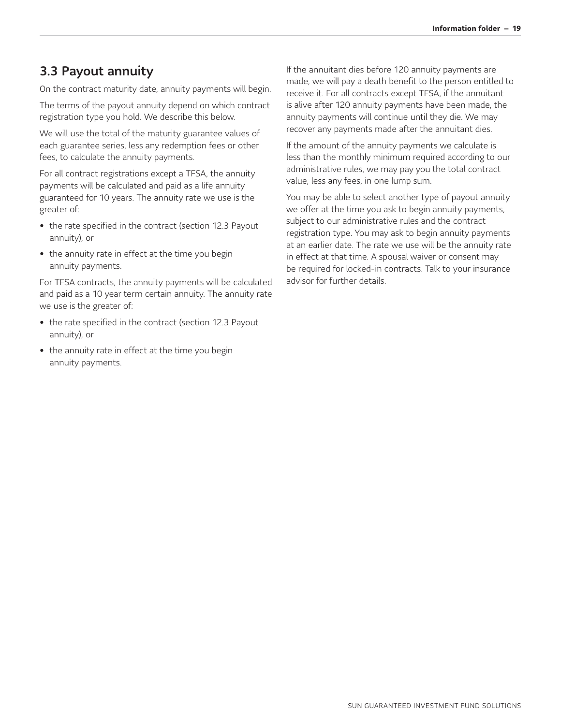### <span id="page-19-0"></span>3.3 Payout annuity

On the contract maturity date, annuity payments will begin.

The terms of the payout annuity depend on which contract registration type you hold. We describe this below.

We will use the total of the maturity guarantee values of each guarantee series, less any redemption fees or other fees, to calculate the annuity payments.

For all contract registrations except a TFSA, the annuity payments will be calculated and paid as a life annuity guaranteed for 10 years. The annuity rate we use is the greater of:

- the rate specified in the contract (section 12.3 Payout annuity), or
- the annuity rate in effect at the time you begin annuity payments.

For TFSA contracts, the annuity payments will be calculated and paid as a 10 year term certain annuity. The annuity rate we use is the greater of:

- the rate specified in the contract (section 12.3 Payout annuity), or
- the annuity rate in effect at the time you begin annuity payments.

If the annuitant dies before 120 annuity payments are made, we will pay a death benefit to the person entitled to receive it. For all contracts except TFSA, if the annuitant is alive after 120 annuity payments have been made, the annuity payments will continue until they die. We may recover any payments made after the annuitant dies.

If the amount of the annuity payments we calculate is less than the monthly minimum required according to our administrative rules, we may pay you the total contract value, less any fees, in one lump sum.

You may be able to select another type of payout annuity we offer at the time you ask to begin annuity payments, subject to our administrative rules and the contract registration type. You may ask to begin annuity payments at an earlier date. The rate we use will be the annuity rate in effect at that time. A spousal waiver or consent may be required for locked-in contracts. Talk to your insurance advisor for further details.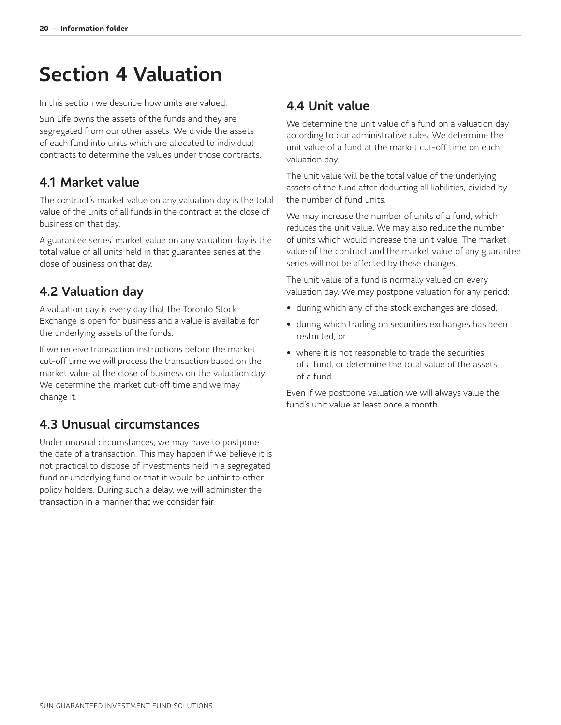# <span id="page-20-0"></span>Section 4 Valuation

In this section we describe how units are valued.

Sun Life owns the assets of the funds and they are segregated from our other assets. We divide the assets of each fund into units which are allocated to individual contracts to determine the values under those contracts.

### <span id="page-20-1"></span>4.1 Market value

The contract's market value on any valuation day is the total value of the units of all funds in the contract at the close of business on that day.

A guarantee series' market value on any valuation day is the total value of all units held in that guarantee series at the close of business on that day.

## <span id="page-20-2"></span>4.2 Valuation day

A valuation day is every day that the Toronto Stock Exchange is open for business and a value is available for the underlying assets of the funds.

If we receive transaction instructions before the market cut-off time we will process the transaction based on the market value at the close of business on the valuation day. We determine the market cut-off time and we may change it.

## <span id="page-20-3"></span>4.3 Unusual circumstances

Under unusual circumstances, we may have to postpone the date of a transaction. This may happen if we believe it is not practical to dispose of investments held in a segregated fund or underlying fund or that it would be unfair to other policy holders. During such a delay, we will administer the transaction in a manner that we consider fair.

### <span id="page-20-4"></span>4.4 Unit value

We determine the unit value of a fund on a valuation day according to our administrative rules. We determine the unit value of a fund at the market cut-off time on each valuation day.

The unit value will be the total value of the underlying assets of the fund after deducting all liabilities, divided by the number of fund units.

We may increase the number of units of a fund, which reduces the unit value. We may also reduce the number of units which would increase the unit value. The market value of the contract and the market value of any guarantee series will not be affected by these changes.

The unit value of a fund is normally valued on every valuation day. We may postpone valuation for any period:

- during which any of the stock exchanges are closed,
- during which trading on securities exchanges has been restricted, or
- where it is not reasonable to trade the securities of a fund, or determine the total value of the assets of a fund.

Even if we postpone valuation we will always value the fund's unit value at least once a month.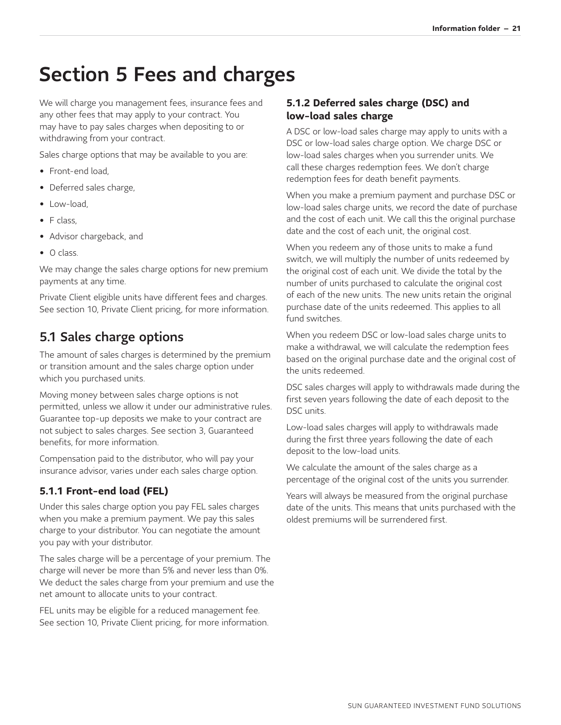# <span id="page-21-0"></span>Section 5 Fees and charges

We will charge you management fees, insurance fees and any other fees that may apply to your contract. You may have to pay sales charges when depositing to or withdrawing from your contract.

Sales charge options that may be available to you are:

- Front-end load,
- Deferred sales charge,
- Low-load,
- F class,
- Advisor chargeback, and
- O class.

We may change the sales charge options for new premium payments at any time.

Private Client eligible units have different fees and charges. See section 10, Private Client pricing, for more information.

### <span id="page-21-1"></span>5.1 Sales charge options

The amount of sales charges is determined by the premium or transition amount and the sales charge option under which you purchased units.

Moving money between sales charge options is not permitted, unless we allow it under our administrative rules. Guarantee top-up deposits we make to your contract are not subject to sales charges. See section 3, Guaranteed benefits, for more information.

Compensation paid to the distributor, who will pay your insurance advisor, varies under each sales charge option.

### <span id="page-21-2"></span>**5.1.1 Front-end load (FEL)**

Under this sales charge option you pay FEL sales charges when you make a premium payment. We pay this sales charge to your distributor. You can negotiate the amount you pay with your distributor.

The sales charge will be a percentage of your premium. The charge will never be more than 5% and never less than 0%. We deduct the sales charge from your premium and use the net amount to allocate units to your contract.

FEL units may be eligible for a reduced management fee. See section 10, Private Client pricing, for more information.

#### <span id="page-21-3"></span>**5.1.2 Deferred sales charge (DSC) and low-load sales charge**

A DSC or low-load sales charge may apply to units with a DSC or low-load sales charge option. We charge DSC or low-load sales charges when you surrender units. We call these charges redemption fees. We don't charge redemption fees for death benefit payments.

When you make a premium payment and purchase DSC or low-load sales charge units, we record the date of purchase and the cost of each unit. We call this the original purchase date and the cost of each unit, the original cost.

When you redeem any of those units to make a fund switch, we will multiply the number of units redeemed by the original cost of each unit. We divide the total by the number of units purchased to calculate the original cost of each of the new units. The new units retain the original purchase date of the units redeemed. This applies to all fund switches.

When you redeem DSC or low-load sales charge units to make a withdrawal, we will calculate the redemption fees based on the original purchase date and the original cost of the units redeemed.

DSC sales charges will apply to withdrawals made during the first seven years following the date of each deposit to the DSC units.

Low-load sales charges will apply to withdrawals made during the first three years following the date of each deposit to the low-load units.

We calculate the amount of the sales charge as a percentage of the original cost of the units you surrender.

Years will always be measured from the original purchase date of the units. This means that units purchased with the oldest premiums will be surrendered first.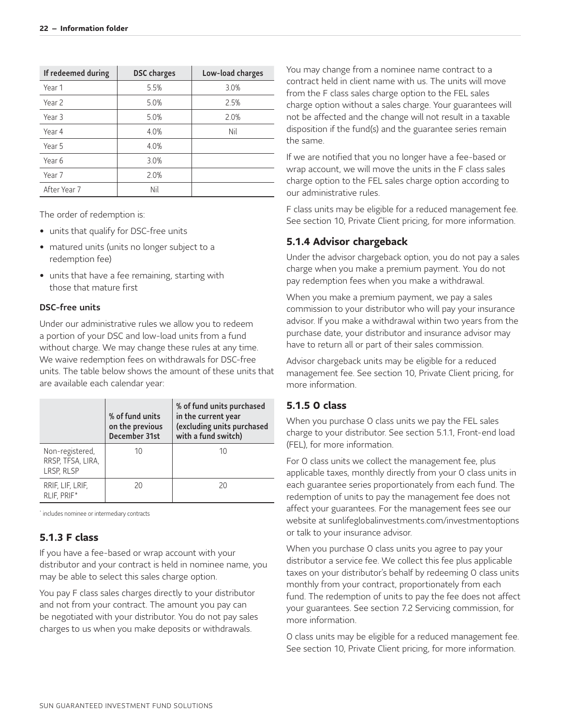| If redeemed during | <b>DSC</b> charges | Low-load charges |
|--------------------|--------------------|------------------|
| Year 1             | 5.5%               | 3.0%             |
| Year 2             | 5.0%               | 2.5%             |
| Year 3             | 5.0%               | 2.0%             |
| Year 4             | 4.0%               | Nil              |
| Year 5             | 4.0%               |                  |
| Year 6             | 3.0%               |                  |
| Year 7             | 2.0%               |                  |
| After Year 7       | Nil                |                  |

The order of redemption is:

- units that qualify for DSC-free units
- matured units (units no longer subject to a redemption fee)
- units that have a fee remaining, starting with those that mature first

#### DSC-free units

Under our administrative rules we allow you to redeem a portion of your DSC and low-load units from a fund without charge. We may change these rules at any time. We waive redemption fees on withdrawals for DSC-free units. The table below shows the amount of these units that are available each calendar year:

|                                                    | % of fund units<br>on the previous<br>December 31st | % of fund units purchased<br>in the current year<br>(excluding units purchased<br>with a fund switch) |
|----------------------------------------------------|-----------------------------------------------------|-------------------------------------------------------------------------------------------------------|
| Non-registered,<br>RRSP, TFSA, LIRA,<br>LRSP, RLSP | 10                                                  | 10                                                                                                    |
| RRIF, LIF, LRIF,<br>RLIF, PRIF*                    | 20                                                  | 20                                                                                                    |

<span id="page-22-4"></span><span id="page-22-3"></span>[\\*](#page-22-4) includes nominee or intermediary contracts

#### <span id="page-22-0"></span>**5.1.3 F class**

If you have a fee-based or wrap account with your distributor and your contract is held in nominee name, you may be able to select this sales charge option.

You pay F class sales charges directly to your distributor and not from your contract. The amount you pay can be negotiated with your distributor. You do not pay sales charges to us when you make deposits or withdrawals.

You may change from a nominee name contract to a contract held in client name with us. The units will move from the F class sales charge option to the FEL sales charge option without a sales charge. Your guarantees will not be affected and the change will not result in a taxable disposition if the fund(s) and the guarantee series remain the same.

If we are notified that you no longer have a fee-based or wrap account, we will move the units in the F class sales charge option to the FEL sales charge option according to our administrative rules.

F class units may be eligible for a reduced management fee. See section 10, Private Client pricing, for more information.

#### <span id="page-22-1"></span>**5.1.4 Advisor chargeback**

Under the advisor chargeback option, you do not pay a sales charge when you make a premium payment. You do not pay redemption fees when you make a withdrawal.

When you make a premium payment, we pay a sales commission to your distributor who will pay your insurance advisor. If you make a withdrawal within two years from the purchase date, your distributor and insurance advisor may have to return all or part of their sales commission.

Advisor chargeback units may be eligible for a reduced management fee. See section 10, Private Client pricing, for more information.

#### <span id="page-22-2"></span>**5.1.5 O class**

When you purchase O class units we pay the FEL sales charge to your distributor. See section 5.1.1, Front-end load (FEL), for more information.

For O class units we collect the management fee, plus applicable taxes, monthly directly from your O class units in each guarantee series proportionately from each fund. The redemption of units to pay the management fee does not affect your guarantees. For the management fees see our website at [sunlifeglobalinvestments.com/investmentoptions](http://sunlifeglobalinvestments.com/investmentoptions) or talk to your insurance advisor.

When you purchase O class units you agree to pay your distributor a service fee. We collect this fee plus applicable taxes on your distributor's behalf by redeeming O class units monthly from your contract, proportionately from each fund. The redemption of units to pay the fee does not affect your guarantees. See section 7.2 Servicing commission, for more information.

O class units may be eligible for a reduced management fee. See section 10, Private Client pricing, for more information.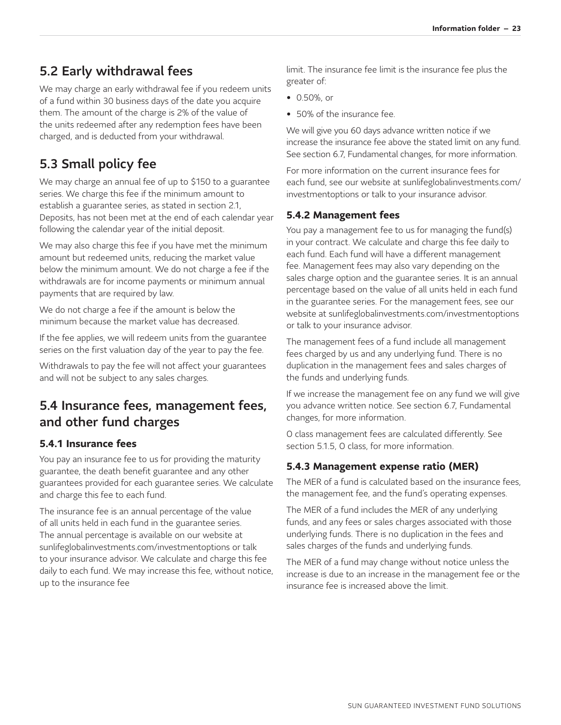## <span id="page-23-0"></span>5.2 Early withdrawal fees

We may charge an early withdrawal fee if you redeem units of a fund within 30 business days of the date you acquire them. The amount of the charge is 2% of the value of the units redeemed after any redemption fees have been charged, and is deducted from your withdrawal.

## <span id="page-23-1"></span>5.3 Small policy fee

We may charge an annual fee of up to \$150 to a guarantee series. We charge this fee if the minimum amount to establish a guarantee series, as stated in section 2.1, Deposits, has not been met at the end of each calendar year following the calendar year of the initial deposit.

We may also charge this fee if you have met the minimum amount but redeemed units, reducing the market value below the minimum amount. We do not charge a fee if the withdrawals are for income payments or minimum annual payments that are required by law.

We do not charge a fee if the amount is below the minimum because the market value has decreased.

If the fee applies, we will redeem units from the guarantee series on the first valuation day of the year to pay the fee.

Withdrawals to pay the fee will not affect your guarantees and will not be subject to any sales charges.

## <span id="page-23-2"></span>5.4 Insurance fees, management fees, and other fund charges

#### <span id="page-23-3"></span>**5.4.1 Insurance fees**

You pay an insurance fee to us for providing the maturity guarantee, the death benefit guarantee and any other guarantees provided for each guarantee series. We calculate and charge this fee to each fund.

The insurance fee is an annual percentage of the value of all units held in each fund in the guarantee series. The annual percentage is available on our website at [sunlifeglobalinvestments.com/investmentoptions](http://sunlifeglobalinvestments.com/investmentoptions) or talk to your insurance advisor. We calculate and charge this fee daily to each fund. We may increase this fee, without notice, up to the insurance fee

limit. The insurance fee limit is the insurance fee plus the greater of:

- 0.50%, or
- 50% of the insurance fee.

We will give you 60 days advance written notice if we increase the insurance fee above the stated limit on any fund. See section 6.7, Fundamental changes, for more information.

For more information on the current insurance fees for [each fund, see our website at sunlifeglobalinvestments.com/](http://sunlifeglobalinvestments.com/investmentoptions) investmentoptions or talk to your insurance advisor.

#### <span id="page-23-4"></span>**5.4.2 Management fees**

You pay a management fee to us for managing the fund(s) in your contract. We calculate and charge this fee daily to each fund. Each fund will have a different management fee. Management fees may also vary depending on the sales charge option and the guarantee series. It is an annual percentage based on the value of all units held in each fund in the guarantee series. For the management fees, see our website at [sunlifeglobalinvestments.com/investmentoptions](http://sunlifeglobalinvestments.com/investmentoptions) or talk to your insurance advisor.

The management fees of a fund include all management fees charged by us and any underlying fund. There is no duplication in the management fees and sales charges of the funds and underlying funds.

If we increase the management fee on any fund we will give you advance written notice. See section 6.7, Fundamental changes, for more information.

O class management fees are calculated differently. See section 5.1.5, O class, for more information.

#### <span id="page-23-5"></span>**5.4.3 Management expense ratio (MER)**

The MER of a fund is calculated based on the insurance fees, the management fee, and the fund's operating expenses.

The MER of a fund includes the MER of any underlying funds, and any fees or sales charges associated with those underlying funds. There is no duplication in the fees and sales charges of the funds and underlying funds.

The MER of a fund may change without notice unless the increase is due to an increase in the management fee or the insurance fee is increased above the limit.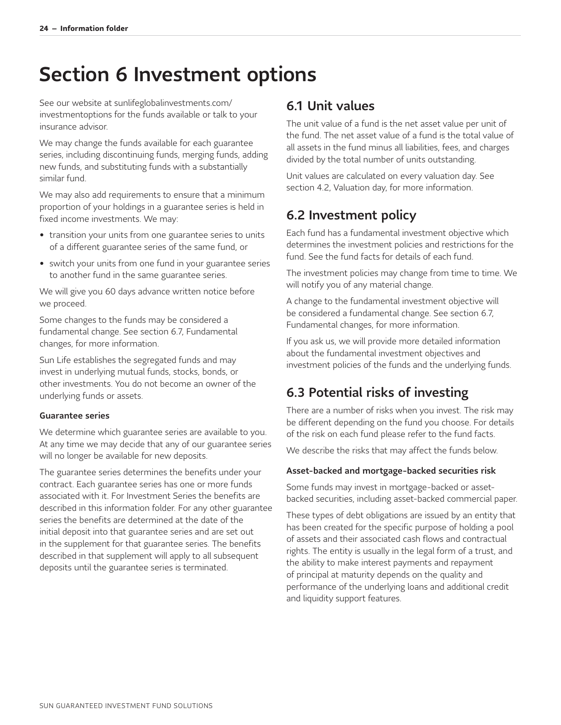# <span id="page-24-0"></span>Section 6 Investment options

[See our website at sunlifeglobalinvestments.com/](http://sunlifeglobalinvestments.com/investmentoptions) investmentoptions for the funds available or talk to your insurance advisor.

We may change the funds available for each guarantee series, including discontinuing funds, merging funds, adding new funds, and substituting funds with a substantially similar fund.

We may also add requirements to ensure that a minimum proportion of your holdings in a guarantee series is held in fixed income investments. We may:

- transition your units from one guarantee series to units of a different guarantee series of the same fund, or
- switch your units from one fund in your guarantee series to another fund in the same guarantee series.

We will give you 60 days advance written notice before we proceed.

Some changes to the funds may be considered a fundamental change. See section 6.7, Fundamental changes, for more information.

Sun Life establishes the segregated funds and may invest in underlying mutual funds, stocks, bonds, or other investments. You do not become an owner of the underlying funds or assets.

#### Guarantee series

We determine which guarantee series are available to you. At any time we may decide that any of our guarantee series will no longer be available for new deposits.

The guarantee series determines the benefits under your contract. Each guarantee series has one or more funds associated with it. For Investment Series the benefits are described in this information folder. For any other guarantee series the benefits are determined at the date of the initial deposit into that guarantee series and are set out in the supplement for that guarantee series. The benefits described in that supplement will apply to all subsequent deposits until the guarantee series is terminated.

### <span id="page-24-1"></span>6.1 Unit values

The unit value of a fund is the net asset value per unit of the fund. The net asset value of a fund is the total value of all assets in the fund minus all liabilities, fees, and charges divided by the total number of units outstanding.

Unit values are calculated on every valuation day. See section 4.2, Valuation day, for more information.

## <span id="page-24-2"></span>6.2 Investment policy

Each fund has a fundamental investment objective which determines the investment policies and restrictions for the fund. See the fund facts for details of each fund.

The investment policies may change from time to time. We will notify you of any material change.

A change to the fundamental investment objective will be considered a fundamental change. See section 6.7, Fundamental changes, for more information.

If you ask us, we will provide more detailed information about the fundamental investment objectives and investment policies of the funds and the underlying funds.

## <span id="page-24-3"></span>6.3 Potential risks of investing

There are a number of risks when you invest. The risk may be different depending on the fund you choose. For details of the risk on each fund please refer to the fund facts.

We describe the risks that may affect the funds below.

#### Asset-backed and mortgage-backed securities risk

Some funds may invest in mortgage-backed or assetbacked securities, including asset-backed commercial paper.

These types of debt obligations are issued by an entity that has been created for the specific purpose of holding a pool of assets and their associated cash flows and contractual rights. The entity is usually in the legal form of a trust, and the ability to make interest payments and repayment of principal at maturity depends on the quality and performance of the underlying loans and additional credit and liquidity support features.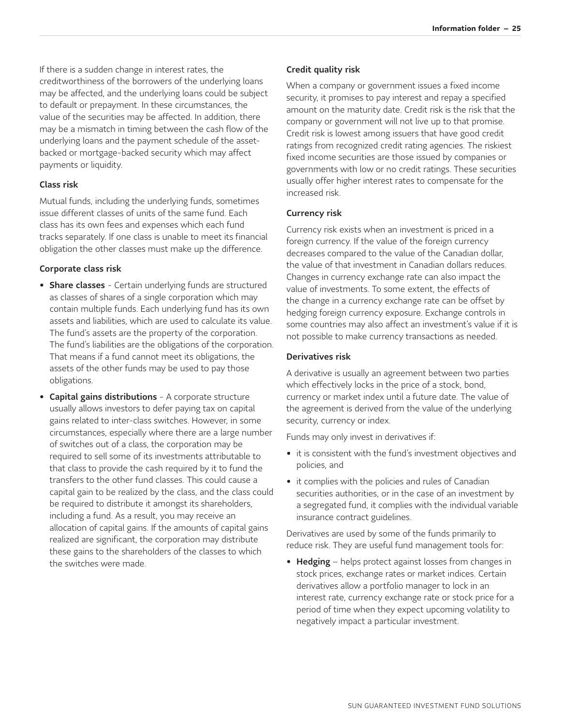If there is a sudden change in interest rates, the creditworthiness of the borrowers of the underlying loans may be affected, and the underlying loans could be subject to default or prepayment. In these circumstances, the value of the securities may be affected. In addition, there may be a mismatch in timing between the cash flow of the underlying loans and the payment schedule of the assetbacked or mortgage-backed security which may affect payments or liquidity.

#### Class risk

Mutual funds, including the underlying funds, sometimes issue different classes of units of the same fund. Each class has its own fees and expenses which each fund tracks separately. If one class is unable to meet its financial obligation the other classes must make up the difference.

#### Corporate class risk

- Share classes Certain underlying funds are structured as classes of shares of a single corporation which may contain multiple funds. Each underlying fund has its own assets and liabilities, which are used to calculate its value. The fund's assets are the property of the corporation. The fund's liabilities are the obligations of the corporation. That means if a fund cannot meet its obligations, the assets of the other funds may be used to pay those obligations.
- Capital gains distributions A corporate structure usually allows investors to defer paying tax on capital gains related to inter-class switches. However, in some circumstances, especially where there are a large number of switches out of a class, the corporation may be required to sell some of its investments attributable to that class to provide the cash required by it to fund the transfers to the other fund classes. This could cause a capital gain to be realized by the class, and the class could be required to distribute it amongst its shareholders, including a fund. As a result, you may receive an allocation of capital gains. If the amounts of capital gains realized are significant, the corporation may distribute these gains to the shareholders of the classes to which the switches were made.

#### Credit quality risk

When a company or government issues a fixed income security, it promises to pay interest and repay a specified amount on the maturity date. Credit risk is the risk that the company or government will not live up to that promise. Credit risk is lowest among issuers that have good credit ratings from recognized credit rating agencies. The riskiest fixed income securities are those issued by companies or governments with low or no credit ratings. These securities usually offer higher interest rates to compensate for the increased risk.

#### Currency risk

Currency risk exists when an investment is priced in a foreign currency. If the value of the foreign currency decreases compared to the value of the Canadian dollar, the value of that investment in Canadian dollars reduces. Changes in currency exchange rate can also impact the value of investments. To some extent, the effects of the change in a currency exchange rate can be offset by hedging foreign currency exposure. Exchange controls in some countries may also affect an investment's value if it is not possible to make currency transactions as needed.

#### Derivatives risk

A derivative is usually an agreement between two parties which effectively locks in the price of a stock, bond, currency or market index until a future date. The value of the agreement is derived from the value of the underlying security, currency or index.

Funds may only invest in derivatives if:

- it is consistent with the fund's investment objectives and policies, and
- it complies with the policies and rules of Canadian securities authorities, or in the case of an investment by a segregated fund, it complies with the individual variable insurance contract guidelines.

Derivatives are used by some of the funds primarily to reduce risk. They are useful fund management tools for:

• Hedging – helps protect against losses from changes in stock prices, exchange rates or market indices. Certain derivatives allow a portfolio manager to lock in an interest rate, currency exchange rate or stock price for a period of time when they expect upcoming volatility to negatively impact a particular investment.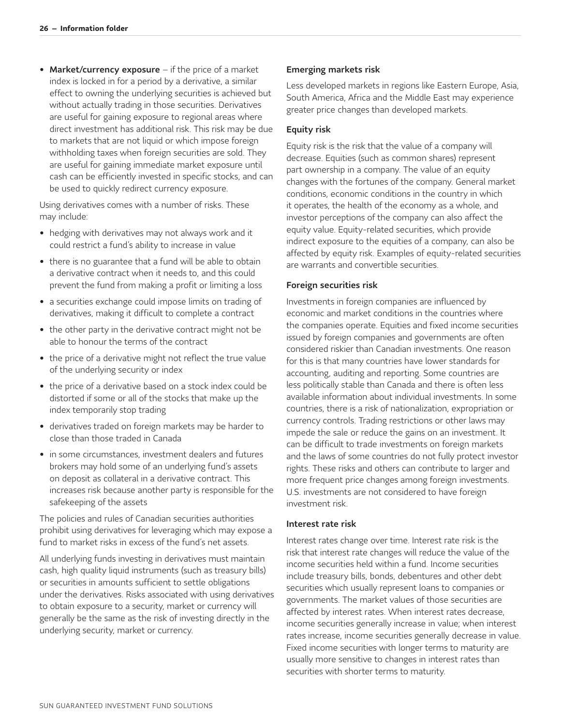• Market/currency exposure – if the price of a market index is locked in for a period by a derivative, a similar effect to owning the underlying securities is achieved but without actually trading in those securities. Derivatives are useful for gaining exposure to regional areas where direct investment has additional risk. This risk may be due to markets that are not liquid or which impose foreign withholding taxes when foreign securities are sold. They are useful for gaining immediate market exposure until cash can be efficiently invested in specific stocks, and can be used to quickly redirect currency exposure.

Using derivatives comes with a number of risks. These may include:

- hedging with derivatives may not always work and it could restrict a fund's ability to increase in value
- there is no guarantee that a fund will be able to obtain a derivative contract when it needs to, and this could prevent the fund from making a profit or limiting a loss
- a securities exchange could impose limits on trading of derivatives, making it difficult to complete a contract
- the other party in the derivative contract might not be able to honour the terms of the contract
- the price of a derivative might not reflect the true value of the underlying security or index
- the price of a derivative based on a stock index could be distorted if some or all of the stocks that make up the index temporarily stop trading
- derivatives traded on foreign markets may be harder to close than those traded in Canada
- in some circumstances, investment dealers and futures brokers may hold some of an underlying fund's assets on deposit as collateral in a derivative contract. This increases risk because another party is responsible for the safekeeping of the assets

The policies and rules of Canadian securities authorities prohibit using derivatives for leveraging which may expose a fund to market risks in excess of the fund's net assets.

All underlying funds investing in derivatives must maintain cash, high quality liquid instruments (such as treasury bills) or securities in amounts sufficient to settle obligations under the derivatives. Risks associated with using derivatives to obtain exposure to a security, market or currency will generally be the same as the risk of investing directly in the underlying security, market or currency.

#### Emerging markets risk

Less developed markets in regions like Eastern Europe, Asia, South America, Africa and the Middle East may experience greater price changes than developed markets.

#### Equity risk

Equity risk is the risk that the value of a company will decrease. Equities (such as common shares) represent part ownership in a company. The value of an equity changes with the fortunes of the company. General market conditions, economic conditions in the country in which it operates, the health of the economy as a whole, and investor perceptions of the company can also affect the equity value. Equity-related securities, which provide indirect exposure to the equities of a company, can also be affected by equity risk. Examples of equity-related securities are warrants and convertible securities.

#### Foreign securities risk

Investments in foreign companies are influenced by economic and market conditions in the countries where the companies operate. Equities and fixed income securities issued by foreign companies and governments are often considered riskier than Canadian investments. One reason for this is that many countries have lower standards for accounting, auditing and reporting. Some countries are less politically stable than Canada and there is often less available information about individual investments. In some countries, there is a risk of nationalization, expropriation or currency controls. Trading restrictions or other laws may impede the sale or reduce the gains on an investment. It can be difficult to trade investments on foreign markets and the laws of some countries do not fully protect investor rights. These risks and others can contribute to larger and more frequent price changes among foreign investments. U.S. investments are not considered to have foreign investment risk.

#### Interest rate risk

Interest rates change over time. Interest rate risk is the risk that interest rate changes will reduce the value of the income securities held within a fund. Income securities include treasury bills, bonds, debentures and other debt securities which usually represent loans to companies or governments. The market values of those securities are affected by interest rates. When interest rates decrease, income securities generally increase in value; when interest rates increase, income securities generally decrease in value. Fixed income securities with longer terms to maturity are usually more sensitive to changes in interest rates than securities with shorter terms to maturity.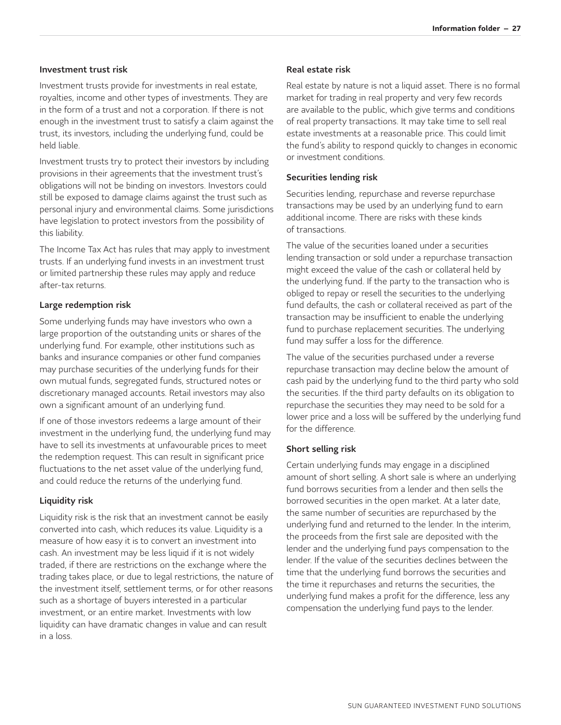#### Investment trust risk

Investment trusts provide for investments in real estate, royalties, income and other types of investments. They are in the form of a trust and not a corporation. If there is not enough in the investment trust to satisfy a claim against the trust, its investors, including the underlying fund, could be held liable.

Investment trusts try to protect their investors by including provisions in their agreements that the investment trust's obligations will not be binding on investors. Investors could still be exposed to damage claims against the trust such as personal injury and environmental claims. Some jurisdictions have legislation to protect investors from the possibility of this liability.

The Income Tax Act has rules that may apply to investment trusts. If an underlying fund invests in an investment trust or limited partnership these rules may apply and reduce after-tax returns.

#### Large redemption risk

Some underlying funds may have investors who own a large proportion of the outstanding units or shares of the underlying fund. For example, other institutions such as banks and insurance companies or other fund companies may purchase securities of the underlying funds for their own mutual funds, segregated funds, structured notes or discretionary managed accounts. Retail investors may also own a significant amount of an underlying fund.

If one of those investors redeems a large amount of their investment in the underlying fund, the underlying fund may have to sell its investments at unfavourable prices to meet the redemption request. This can result in significant price fluctuations to the net asset value of the underlying fund, and could reduce the returns of the underlying fund.

#### Liquidity risk

Liquidity risk is the risk that an investment cannot be easily converted into cash, which reduces its value. Liquidity is a measure of how easy it is to convert an investment into cash. An investment may be less liquid if it is not widely traded, if there are restrictions on the exchange where the trading takes place, or due to legal restrictions, the nature of the investment itself, settlement terms, or for other reasons such as a shortage of buyers interested in a particular investment, or an entire market. Investments with low liquidity can have dramatic changes in value and can result in a loss.

#### Real estate risk

Real estate by nature is not a liquid asset. There is no formal market for trading in real property and very few records are available to the public, which give terms and conditions of real property transactions. It may take time to sell real estate investments at a reasonable price. This could limit the fund's ability to respond quickly to changes in economic or investment conditions.

#### Securities lending risk

Securities lending, repurchase and reverse repurchase transactions may be used by an underlying fund to earn additional income. There are risks with these kinds of transactions.

The value of the securities loaned under a securities lending transaction or sold under a repurchase transaction might exceed the value of the cash or collateral held by the underlying fund. If the party to the transaction who is obliged to repay or resell the securities to the underlying fund defaults, the cash or collateral received as part of the transaction may be insufficient to enable the underlying fund to purchase replacement securities. The underlying fund may suffer a loss for the difference.

The value of the securities purchased under a reverse repurchase transaction may decline below the amount of cash paid by the underlying fund to the third party who sold the securities. If the third party defaults on its obligation to repurchase the securities they may need to be sold for a lower price and a loss will be suffered by the underlying fund for the difference.

#### Short selling risk

Certain underlying funds may engage in a disciplined amount of short selling. A short sale is where an underlying fund borrows securities from a lender and then sells the borrowed securities in the open market. At a later date, the same number of securities are repurchased by the underlying fund and returned to the lender. In the interim, the proceeds from the first sale are deposited with the lender and the underlying fund pays compensation to the lender. If the value of the securities declines between the time that the underlying fund borrows the securities and the time it repurchases and returns the securities, the underlying fund makes a profit for the difference, less any compensation the underlying fund pays to the lender.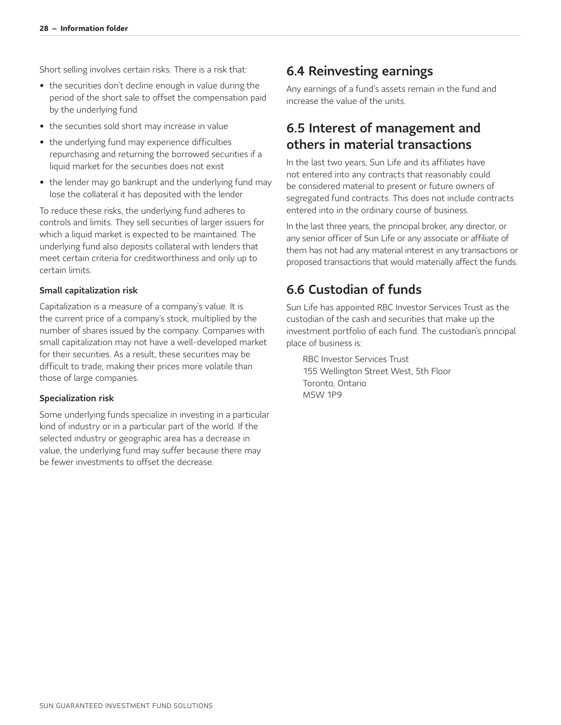Short selling involves certain risks. There is a risk that:

- the securities don't decline enough in value during the period of the short sale to offset the compensation paid by the underlying fund
- the securities sold short may increase in value
- the underlying fund may experience difficulties repurchasing and returning the borrowed securities if a liquid market for the securities does not exist
- the lender may go bankrupt and the underlying fund may lose the collateral it has deposited with the lender

To reduce these risks, the underlying fund adheres to controls and limits. They sell securities of larger issuers for which a liquid market is expected to be maintained. The underlying fund also deposits collateral with lenders that meet certain criteria for creditworthiness and only up to certain limits.

#### Small capitalization risk

Capitalization is a measure of a company's value. It is the current price of a company's stock, multiplied by the number of shares issued by the company. Companies with small capitalization may not have a well-developed market for their securities. As a result, these securities may be difficult to trade, making their prices more volatile than those of large companies.

#### Specialization risk

Some underlying funds specialize in investing in a particular kind of industry or in a particular part of the world. If the selected industry or geographic area has a decrease in value, the underlying fund may suffer because there may be fewer investments to offset the decrease.

### <span id="page-28-0"></span>6.4 Reinvesting earnings

Any earnings of a fund's assets remain in the fund and increase the value of the units.

### <span id="page-28-1"></span>6.5 Interest of management and others in material transactions

In the last two years, Sun Life and its affiliates have not entered into any contracts that reasonably could be considered material to present or future owners of segregated fund contracts. This does not include contracts entered into in the ordinary course of business.

In the last three years, the principal broker, any director, or any senior officer of Sun Life or any associate or affiliate of them has not had any material interest in any transactions or proposed transactions that would materially affect the funds.

### <span id="page-28-2"></span>6.6 Custodian of funds

Sun Life has appointed RBC Investor Services Trust as the custodian of the cash and securities that make up the investment portfolio of each fund. The custodian's principal place of business is:

RBC Investor Services Trust 155 Wellington Street West, 5th Floor Toronto, Ontario M5W 1P9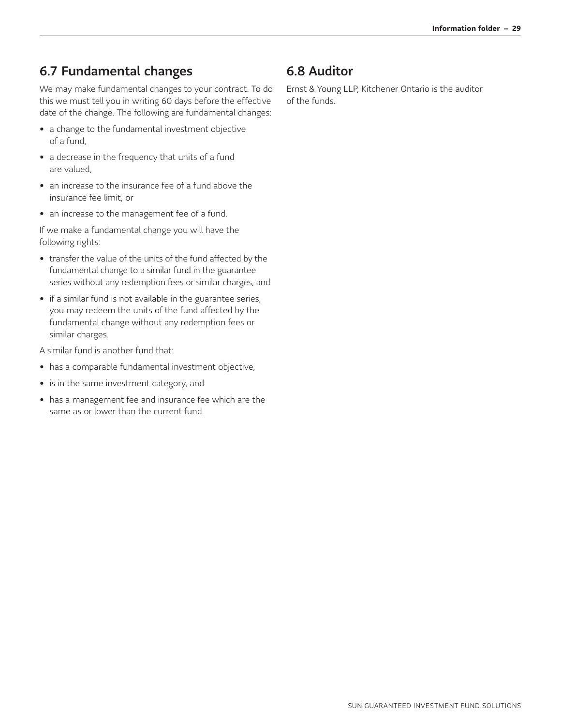## <span id="page-29-0"></span>6.7 Fundamental changes

We may make fundamental changes to your contract. To do this we must tell you in writing 60 days before the effective date of the change. The following are fundamental changes:

- a change to the fundamental investment objective of a fund,
- a decrease in the frequency that units of a fund are valued,
- an increase to the insurance fee of a fund above the insurance fee limit, or
- an increase to the management fee of a fund.

If we make a fundamental change you will have the following rights:

- transfer the value of the units of the fund affected by the fundamental change to a similar fund in the guarantee series without any redemption fees or similar charges, and
- if a similar fund is not available in the guarantee series, you may redeem the units of the fund affected by the fundamental change without any redemption fees or similar charges.
- A similar fund is another fund that:
- has a comparable fundamental investment objective,
- is in the same investment category, and
- has a management fee and insurance fee which are the same as or lower than the current fund.

## <span id="page-29-1"></span>6.8 Auditor

Ernst & Young LLP, Kitchener Ontario is the auditor of the funds.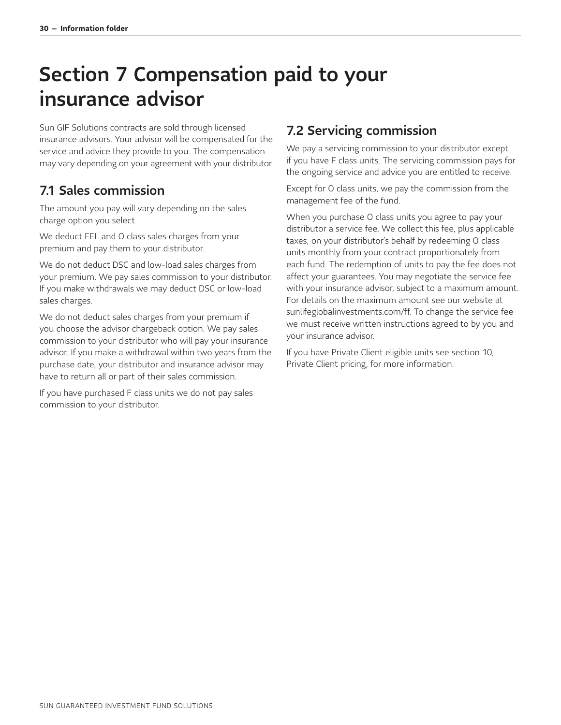# <span id="page-30-0"></span>Section 7 Compensation paid to your insurance advisor

Sun GIF Solutions contracts are sold through licensed insurance advisors. Your advisor will be compensated for the service and advice they provide to you. The compensation may vary depending on your agreement with your distributor.

### <span id="page-30-1"></span>7.1 Sales commission

The amount you pay will vary depending on the sales charge option you select.

We deduct FEL and O class sales charges from your premium and pay them to your distributor.

We do not deduct DSC and low-load sales charges from your premium. We pay sales commission to your distributor. If you make withdrawals we may deduct DSC or low-load sales charges.

We do not deduct sales charges from your premium if you choose the advisor chargeback option. We pay sales commission to your distributor who will pay your insurance advisor. If you make a withdrawal within two years from the purchase date, your distributor and insurance advisor may have to return all or part of their sales commission.

If you have purchased F class units we do not pay sales commission to your distributor.

### <span id="page-30-2"></span>7.2 Servicing commission

We pay a servicing commission to your distributor except if you have F class units. The servicing commission pays for the ongoing service and advice you are entitled to receive.

Except for O class units, we pay the commission from the management fee of the fund.

When you purchase O class units you agree to pay your distributor a service fee. We collect this fee, plus applicable taxes, on your distributor's behalf by redeeming O class units monthly from your contract proportionately from each fund. The redemption of units to pay the fee does not affect your guarantees. You may negotiate the service fee with your insurance advisor, subject to a maximum amount. For details on the maximum amount see our website at [sunlifeglobalinvestments.com/ff.](http://sunlifeglobalinvestments.com/ff) To change the service fee we must receive written instructions agreed to by you and your insurance advisor.

If you have Private Client eligible units see section 10, Private Client pricing, for more information.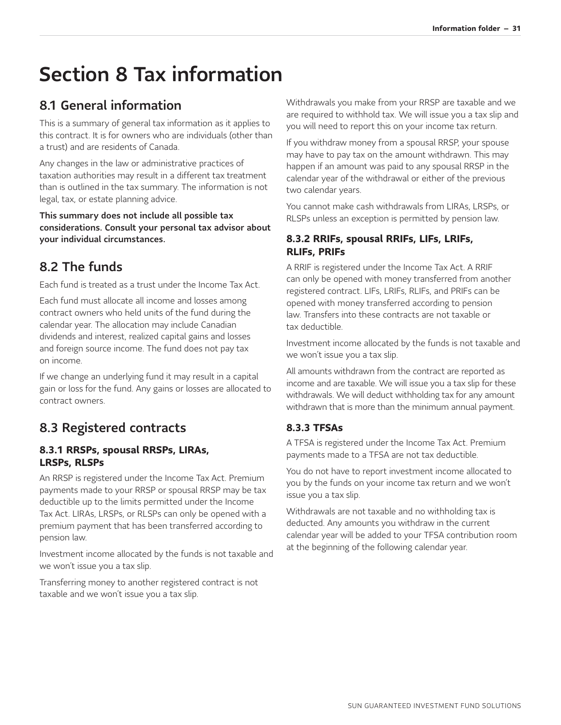# <span id="page-31-0"></span>Section 8 Tax information

## <span id="page-31-1"></span>8.1 General information

This is a summary of general tax information as it applies to this contract. It is for owners who are individuals (other than a trust) and are residents of Canada.

Any changes in the law or administrative practices of taxation authorities may result in a different tax treatment than is outlined in the tax summary. The information is not legal, tax, or estate planning advice.

This summary does not include all possible tax considerations. Consult your personal tax advisor about your individual circumstances.

## <span id="page-31-2"></span>8.2 The funds

Each fund is treated as a trust under the Income Tax Act.

Each fund must allocate all income and losses among contract owners who held units of the fund during the calendar year. The allocation may include Canadian dividends and interest, realized capital gains and losses and foreign source income. The fund does not pay tax on income.

If we change an underlying fund it may result in a capital gain or loss for the fund. Any gains or losses are allocated to contract owners.

## <span id="page-31-3"></span>8.3 Registered contracts

#### <span id="page-31-4"></span>**8.3.1 RRSPs, spousal RRSPs, LIRAs, LRSPs, RLSPs**

An RRSP is registered under the Income Tax Act. Premium payments made to your RRSP or spousal RRSP may be tax deductible up to the limits permitted under the Income Tax Act. LIRAs, LRSPs, or RLSPs can only be opened with a premium payment that has been transferred according to pension law.

Investment income allocated by the funds is not taxable and we won't issue you a tax slip.

Transferring money to another registered contract is not taxable and we won't issue you a tax slip.

Withdrawals you make from your RRSP are taxable and we are required to withhold tax. We will issue you a tax slip and you will need to report this on your income tax return.

If you withdraw money from a spousal RRSP, your spouse may have to pay tax on the amount withdrawn. This may happen if an amount was paid to any spousal RRSP in the calendar year of the withdrawal or either of the previous two calendar years.

You cannot make cash withdrawals from LIRAs, LRSPs, or RLSPs unless an exception is permitted by pension law.

#### <span id="page-31-5"></span>**8.3.2 RRIFs, spousal RRIFs, LIFs, LRIFs, RLIFs, PRIFs**

A RRIF is registered under the Income Tax Act. A RRIF can only be opened with money transferred from another registered contract. LIFs, LRIFs, RLIFs, and PRIFs can be opened with money transferred according to pension law. Transfers into these contracts are not taxable or tax deductible.

Investment income allocated by the funds is not taxable and we won't issue you a tax slip.

All amounts withdrawn from the contract are reported as income and are taxable. We will issue you a tax slip for these withdrawals. We will deduct withholding tax for any amount withdrawn that is more than the minimum annual payment.

### <span id="page-31-6"></span>**8.3.3 TFSAs**

A TFSA is registered under the Income Tax Act. Premium payments made to a TFSA are not tax deductible.

You do not have to report investment income allocated to you by the funds on your income tax return and we won't issue you a tax slip.

Withdrawals are not taxable and no withholding tax is deducted. Any amounts you withdraw in the current calendar year will be added to your TFSA contribution room at the beginning of the following calendar year.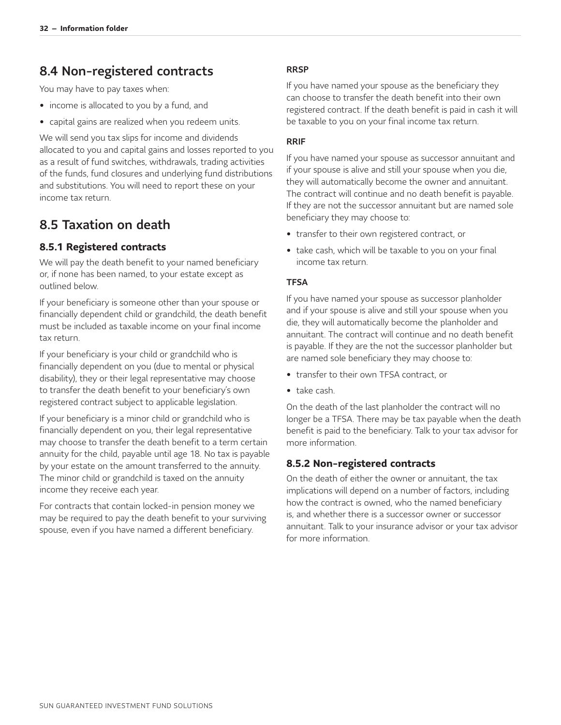### <span id="page-32-0"></span>8.4 Non-registered contracts

You may have to pay taxes when:

- income is allocated to you by a fund, and
- capital gains are realized when you redeem units.

We will send you tax slips for income and dividends allocated to you and capital gains and losses reported to you as a result of fund switches, withdrawals, trading activities of the funds, fund closures and underlying fund distributions and substitutions. You will need to report these on your income tax return.

### <span id="page-32-1"></span>8.5 Taxation on death

### <span id="page-32-2"></span>**8.5.1 Registered contracts**

We will pay the death benefit to your named beneficiary or, if none has been named, to your estate except as outlined below.

If your beneficiary is someone other than your spouse or financially dependent child or grandchild, the death benefit must be included as taxable income on your final income tax return.

If your beneficiary is your child or grandchild who is financially dependent on you (due to mental or physical disability), they or their legal representative may choose to transfer the death benefit to your beneficiary's own registered contract subject to applicable legislation.

If your beneficiary is a minor child or grandchild who is financially dependent on you, their legal representative may choose to transfer the death benefit to a term certain annuity for the child, payable until age 18. No tax is payable by your estate on the amount transferred to the annuity. The minor child or grandchild is taxed on the annuity income they receive each year.

For contracts that contain locked-in pension money we may be required to pay the death benefit to your surviving spouse, even if you have named a different beneficiary.

#### RRSP

If you have named your spouse as the beneficiary they can choose to transfer the death benefit into their own registered contract. If the death benefit is paid in cash it will be taxable to you on your final income tax return.

#### RRIF

If you have named your spouse as successor annuitant and if your spouse is alive and still your spouse when you die, they will automatically become the owner and annuitant. The contract will continue and no death benefit is payable. If they are not the successor annuitant but are named sole beneficiary they may choose to:

- transfer to their own registered contract, or
- take cash, which will be taxable to you on your final income tax return.

#### **TFSA**

If you have named your spouse as successor planholder and if your spouse is alive and still your spouse when you die, they will automatically become the planholder and annuitant. The contract will continue and no death benefit is payable. If they are the not the successor planholder but are named sole beneficiary they may choose to:

- transfer to their own TFSA contract, or
- take cash.

On the death of the last planholder the contract will no longer be a TFSA. There may be tax payable when the death benefit is paid to the beneficiary. Talk to your tax advisor for more information.

#### <span id="page-32-3"></span>**8.5.2 Non-registered contracts**

On the death of either the owner or annuitant, the tax implications will depend on a number of factors, including how the contract is owned, who the named beneficiary is, and whether there is a successor owner or successor annuitant. Talk to your insurance advisor or your tax advisor for more information.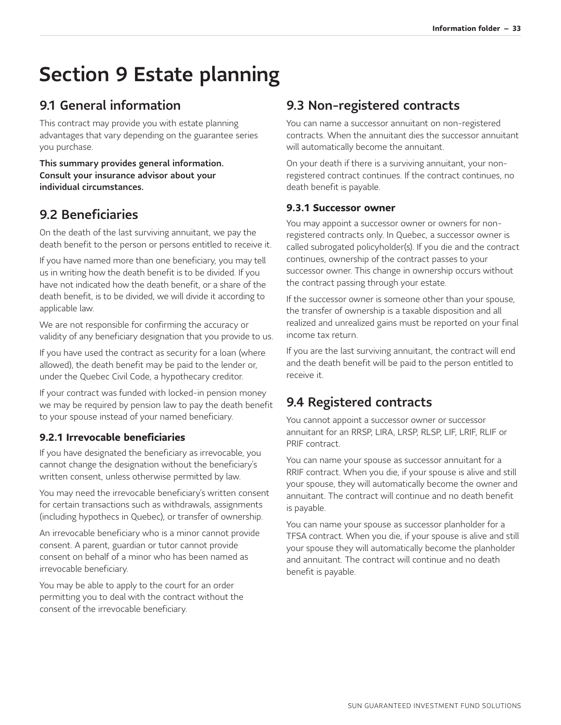# <span id="page-33-0"></span>Section 9 Estate planning

## <span id="page-33-1"></span>9.1 General information

This contract may provide you with estate planning advantages that vary depending on the guarantee series you purchase.

This summary provides general information. Consult your insurance advisor about your individual circumstances.

## <span id="page-33-2"></span>9.2 Beneficiaries

On the death of the last surviving annuitant, we pay the death benefit to the person or persons entitled to receive it.

If you have named more than one beneficiary, you may tell us in writing how the death benefit is to be divided. If you have not indicated how the death benefit, or a share of the death benefit, is to be divided, we will divide it according to applicable law.

We are not responsible for confirming the accuracy or validity of any beneficiary designation that you provide to us.

If you have used the contract as security for a loan (where allowed), the death benefit may be paid to the lender or, under the Quebec Civil Code, a hypothecary creditor.

If your contract was funded with locked-in pension money we may be required by pension law to pay the death benefit to your spouse instead of your named beneficiary.

### <span id="page-33-3"></span>**9.2.1 Irrevocable beneficiaries**

If you have designated the beneficiary as irrevocable, you cannot change the designation without the beneficiary's written consent, unless otherwise permitted by law.

You may need the irrevocable beneficiary's written consent for certain transactions such as withdrawals, assignments (including hypothecs in Quebec), or transfer of ownership.

An irrevocable beneficiary who is a minor cannot provide consent. A parent, guardian or tutor cannot provide consent on behalf of a minor who has been named as irrevocable beneficiary.

You may be able to apply to the court for an order permitting you to deal with the contract without the consent of the irrevocable beneficiary.

## <span id="page-33-4"></span>9.3 Non-registered contracts

You can name a successor annuitant on non-registered contracts. When the annuitant dies the successor annuitant will automatically become the annuitant.

On your death if there is a surviving annuitant, your nonregistered contract continues. If the contract continues, no death benefit is payable.

#### <span id="page-33-5"></span>**9.3.1 Successor owner**

You may appoint a successor owner or owners for nonregistered contracts only. In Quebec, a successor owner is called subrogated policyholder(s). If you die and the contract continues, ownership of the contract passes to your successor owner. This change in ownership occurs without the contract passing through your estate.

If the successor owner is someone other than your spouse, the transfer of ownership is a taxable disposition and all realized and unrealized gains must be reported on your final income tax return.

If you are the last surviving annuitant, the contract will end and the death benefit will be paid to the person entitled to receive it.

## <span id="page-33-6"></span>9.4 Registered contracts

You cannot appoint a successor owner or successor annuitant for an RRSP, LIRA, LRSP, RLSP, LIF, LRIF, RLIF or PRIF contract.

You can name your spouse as successor annuitant for a RRIF contract. When you die, if your spouse is alive and still your spouse, they will automatically become the owner and annuitant. The contract will continue and no death benefit is payable.

You can name your spouse as successor planholder for a TFSA contract. When you die, if your spouse is alive and still your spouse they will automatically become the planholder and annuitant. The contract will continue and no death benefit is payable.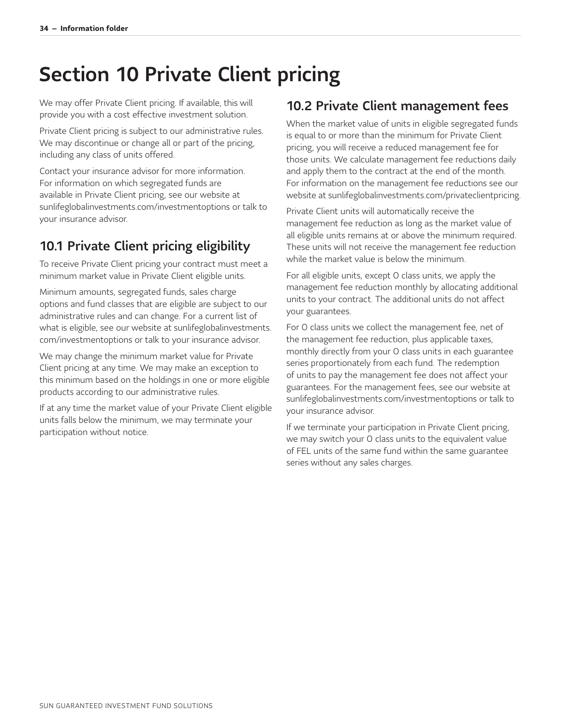# <span id="page-34-0"></span>Section 10 Private Client pricing

We may offer Private Client pricing. If available, this will provide you with a cost effective investment solution.

Private Client pricing is subject to our administrative rules. We may discontinue or change all or part of the pricing, including any class of units offered.

Contact your insurance advisor for more information. For information on which segregated funds are available in Private Client pricing, see our website at [sunlifeglobalinvestments.com/investmentoptions](http://sunlifeglobalinvestments.com/investmentoptions) or talk to your insurance advisor.

## <span id="page-34-1"></span>10.1 Private Client pricing eligibility

To receive Private Client pricing your contract must meet a minimum market value in Private Client eligible units.

Minimum amounts, segregated funds, sales charge options and fund classes that are eligible are subject to our administrative rules and can change. For a current list of [what is eligible, see our website at sunlifeglobalinvestments.](http://sunlifeglobalinvestments.com/investmentoptions) com/investmentoptions or talk to your insurance advisor.

We may change the minimum market value for Private Client pricing at any time. We may make an exception to this minimum based on the holdings in one or more eligible products according to our administrative rules.

If at any time the market value of your Private Client eligible units falls below the minimum, we may terminate your participation without notice.

### <span id="page-34-2"></span>10.2 Private Client management fees

When the market value of units in eligible segregated funds is equal to or more than the minimum for Private Client pricing, you will receive a reduced management fee for those units. We calculate management fee reductions daily and apply them to the contract at the end of the month. For information on the management fee reductions see our website at [sunlifeglobalinvestments.com/privateclientpricing.](http://sunlifeglobalinvestments.com/privateclientpricing)

Private Client units will automatically receive the management fee reduction as long as the market value of all eligible units remains at or above the minimum required. These units will not receive the management fee reduction while the market value is below the minimum.

For all eligible units, except O class units, we apply the management fee reduction monthly by allocating additional units to your contract. The additional units do not affect your guarantees.

For O class units we collect the management fee, net of the management fee reduction, plus applicable taxes, monthly directly from your O class units in each guarantee series proportionately from each fund. The redemption of units to pay the management fee does not affect your guarantees. For the management fees, see our website at [sunlifeglobalinvestments.com/investmentoptions](http://sunlifeglobalinvestments.com/investmentoptions) or talk to your insurance advisor.

If we terminate your participation in Private Client pricing, we may switch your O class units to the equivalent value of FEL units of the same fund within the same guarantee series without any sales charges.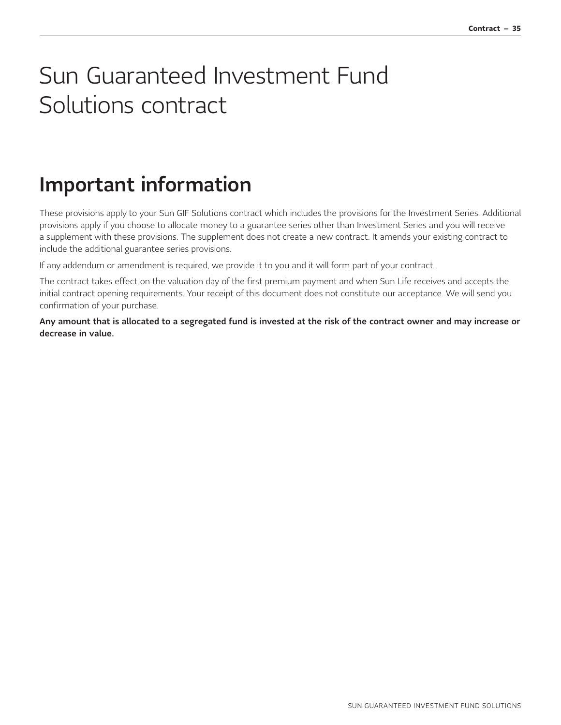# <span id="page-35-0"></span>Sun Guaranteed Investment Fund Solutions contract

# <span id="page-35-1"></span>Important information

These provisions apply to your Sun GIF Solutions contract which includes the provisions for the Investment Series. Additional provisions apply if you choose to allocate money to a guarantee series other than Investment Series and you will receive a supplement with these provisions. The supplement does not create a new contract. It amends your existing contract to include the additional guarantee series provisions.

If any addendum or amendment is required, we provide it to you and it will form part of your contract.

The contract takes effect on the valuation day of the first premium payment and when Sun Life receives and accepts the initial contract opening requirements. Your receipt of this document does not constitute our acceptance. We will send you confirmation of your purchase.

Any amount that is allocated to a segregated fund is invested at the risk of the contract owner and may increase or decrease in value.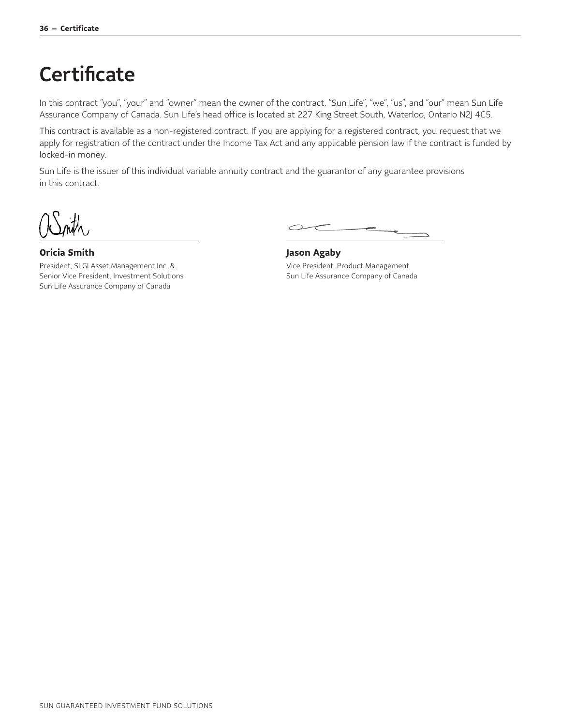# <span id="page-36-0"></span>**Certificate**

In this contract "you", "your" and "owner" mean the owner of the contract. "Sun Life", "we", "us", and "our" mean Sun Life Assurance Company of Canada. Sun Life's head office is located at 227 King Street South, Waterloo, Ontario N2J 4C5.

This contract is available as a non-registered contract. If you are applying for a registered contract, you request that we apply for registration of the contract under the Income Tax Act and any applicable pension law if the contract is funded by locked-in money.

Sun Life is the issuer of this individual variable annuity contract and the guarantor of any guarantee provisions in this contract.

**Oricia Smith**

President, SLGI Asset Management Inc. & Senior Vice President, Investment Solutions Sun Life Assurance Company of Canada

 $\sim$ 

**Jason Agaby** Vice President, Product Management Sun Life Assurance Company of Canada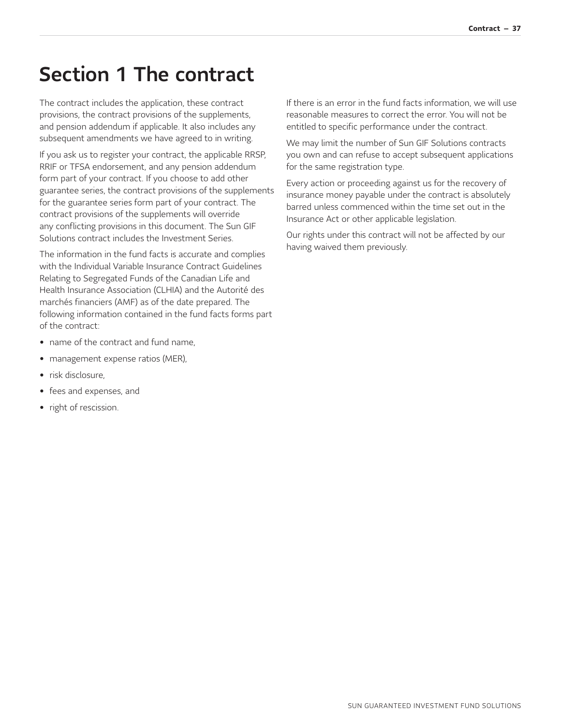# <span id="page-37-0"></span>Section 1 The contract

The contract includes the application, these contract provisions, the contract provisions of the supplements, and pension addendum if applicable. It also includes any subsequent amendments we have agreed to in writing.

If you ask us to register your contract, the applicable RRSP, RRIF or TFSA endorsement, and any pension addendum form part of your contract. If you choose to add other guarantee series, the contract provisions of the supplements for the guarantee series form part of your contract. The contract provisions of the supplements will override any conflicting provisions in this document. The Sun GIF Solutions contract includes the Investment Series.

The information in the fund facts is accurate and complies with the Individual Variable Insurance Contract Guidelines Relating to Segregated Funds of the Canadian Life and Health Insurance Association (CLHIA) and the Autorité des marchés financiers (AMF) as of the date prepared. The following information contained in the fund facts forms part of the contract:

- name of the contract and fund name,
- management expense ratios (MER),
- risk disclosure,
- fees and expenses, and
- right of rescission.

If there is an error in the fund facts information, we will use reasonable measures to correct the error. You will not be entitled to specific performance under the contract.

We may limit the number of Sun GIF Solutions contracts you own and can refuse to accept subsequent applications for the same registration type.

Every action or proceeding against us for the recovery of insurance money payable under the contract is absolutely barred unless commenced within the time set out in the Insurance Act or other applicable legislation.

Our rights under this contract will not be affected by our having waived them previously.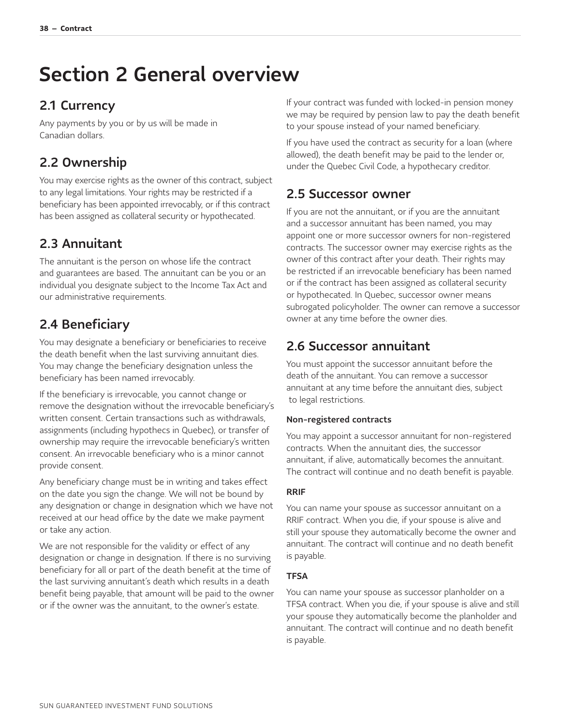# <span id="page-38-0"></span>Section 2 General overview

## <span id="page-38-1"></span>2.1 Currency

Any payments by you or by us will be made in Canadian dollars.

### <span id="page-38-2"></span>2.2 Ownership

You may exercise rights as the owner of this contract, subject to any legal limitations. Your rights may be restricted if a beneficiary has been appointed irrevocably, or if this contract has been assigned as collateral security or hypothecated.

## <span id="page-38-3"></span>2.3 Annuitant

The annuitant is the person on whose life the contract and guarantees are based. The annuitant can be you or an individual you designate subject to the Income Tax Act and our administrative requirements.

### <span id="page-38-4"></span>2.4 Beneficiary

You may designate a beneficiary or beneficiaries to receive the death benefit when the last surviving annuitant dies. You may change the beneficiary designation unless the beneficiary has been named irrevocably.

If the beneficiary is irrevocable, you cannot change or remove the designation without the irrevocable beneficiary's written consent. Certain transactions such as withdrawals, assignments (including hypothecs in Quebec), or transfer of ownership may require the irrevocable beneficiary's written consent. An irrevocable beneficiary who is a minor cannot provide consent.

Any beneficiary change must be in writing and takes effect on the date you sign the change. We will not be bound by any designation or change in designation which we have not received at our head office by the date we make payment or take any action.

We are not responsible for the validity or effect of any designation or change in designation. If there is no surviving beneficiary for all or part of the death benefit at the time of the last surviving annuitant's death which results in a death benefit being payable, that amount will be paid to the owner or if the owner was the annuitant, to the owner's estate.

If your contract was funded with locked-in pension money we may be required by pension law to pay the death benefit to your spouse instead of your named beneficiary.

If you have used the contract as security for a loan (where allowed), the death benefit may be paid to the lender or, under the Quebec Civil Code, a hypothecary creditor.

### <span id="page-38-5"></span>2.5 Successor owner

If you are not the annuitant, or if you are the annuitant and a successor annuitant has been named, you may appoint one or more successor owners for non-registered contracts. The successor owner may exercise rights as the owner of this contract after your death. Their rights may be restricted if an irrevocable beneficiary has been named or if the contract has been assigned as collateral security or hypothecated. In Quebec, successor owner means subrogated policyholder. The owner can remove a successor owner at any time before the owner dies.

### <span id="page-38-6"></span>2.6 Successor annuitant

You must appoint the successor annuitant before the death of the annuitant. You can remove a successor annuitant at any time before the annuitant dies, subject to legal restrictions.

#### Non-registered contracts

You may appoint a successor annuitant for non-registered contracts. When the annuitant dies, the successor annuitant, if alive, automatically becomes the annuitant. The contract will continue and no death benefit is payable.

#### RRIF

You can name your spouse as successor annuitant on a RRIF contract. When you die, if your spouse is alive and still your spouse they automatically become the owner and annuitant. The contract will continue and no death benefit is payable.

#### **TFSA**

You can name your spouse as successor planholder on a TFSA contract. When you die, if your spouse is alive and still your spouse they automatically become the planholder and annuitant. The contract will continue and no death benefit is payable.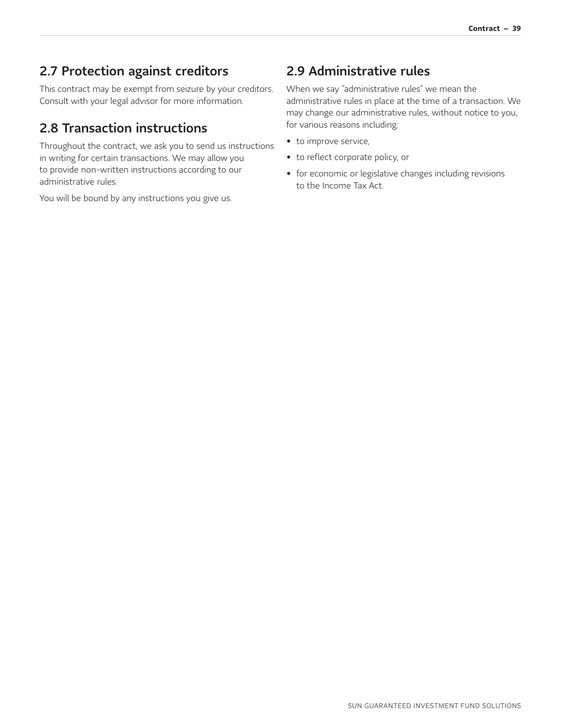### <span id="page-39-0"></span>2.7 Protection against creditors

This contract may be exempt from seizure by your creditors. Consult with your legal advisor for more information.

### <span id="page-39-1"></span>2.8 Transaction instructions

Throughout the contract, we ask you to send us instructions in writing for certain transactions. We may allow you to provide non-written instructions according to our administrative rules.

You will be bound by any instructions you give us.

### <span id="page-39-2"></span>2.9 Administrative rules

When we say "administrative rules" we mean the administrative rules in place at the time of a transaction. We may change our administrative rules, without notice to you, for various reasons including:

- to improve service,
- to reflect corporate policy, or
- for economic or legislative changes including revisions to the Income Tax Act.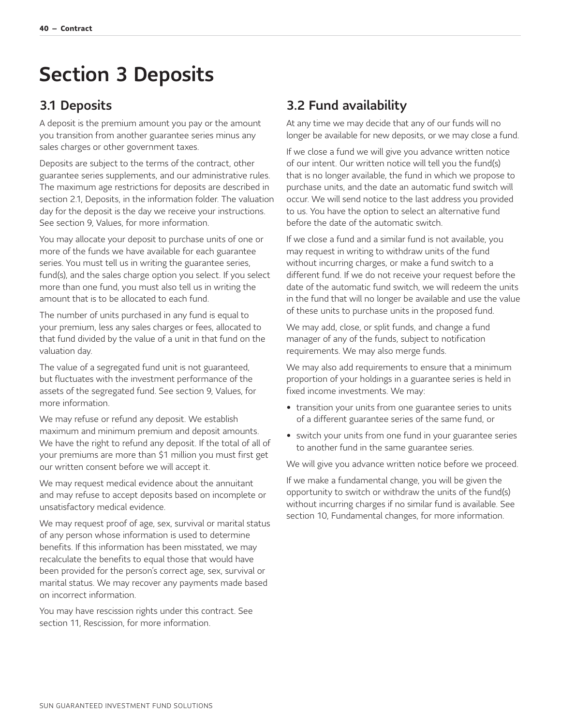# <span id="page-40-0"></span>Section 3 Deposits

### <span id="page-40-1"></span>3.1 Deposits

A deposit is the premium amount you pay or the amount you transition from another guarantee series minus any sales charges or other government taxes.

Deposits are subject to the terms of the contract, other guarantee series supplements, and our administrative rules. The maximum age restrictions for deposits are described in section 2.1, Deposits, in the information folder. The valuation day for the deposit is the day we receive your instructions. See section 9, Values, for more information.

You may allocate your deposit to purchase units of one or more of the funds we have available for each guarantee series. You must tell us in writing the guarantee series, fund(s), and the sales charge option you select. If you select more than one fund, you must also tell us in writing the amount that is to be allocated to each fund.

The number of units purchased in any fund is equal to your premium, less any sales charges or fees, allocated to that fund divided by the value of a unit in that fund on the valuation day.

The value of a segregated fund unit is not guaranteed, but fluctuates with the investment performance of the assets of the segregated fund. See section 9, Values, for more information.

We may refuse or refund any deposit. We establish maximum and minimum premium and deposit amounts. We have the right to refund any deposit. If the total of all of your premiums are more than \$1 million you must first get our written consent before we will accept it.

We may request medical evidence about the annuitant and may refuse to accept deposits based on incomplete or unsatisfactory medical evidence.

We may request proof of age, sex, survival or marital status of any person whose information is used to determine benefits. If this information has been misstated, we may recalculate the benefits to equal those that would have been provided for the person's correct age, sex, survival or marital status. We may recover any payments made based on incorrect information.

You may have rescission rights under this contract. See section 11, Rescission, for more information.

### <span id="page-40-2"></span>3.2 Fund availability

At any time we may decide that any of our funds will no longer be available for new deposits, or we may close a fund.

If we close a fund we will give you advance written notice of our intent. Our written notice will tell you the fund(s) that is no longer available, the fund in which we propose to purchase units, and the date an automatic fund switch will occur. We will send notice to the last address you provided to us. You have the option to select an alternative fund before the date of the automatic switch.

If we close a fund and a similar fund is not available, you may request in writing to withdraw units of the fund without incurring charges, or make a fund switch to a different fund. If we do not receive your request before the date of the automatic fund switch, we will redeem the units in the fund that will no longer be available and use the value of these units to purchase units in the proposed fund.

We may add, close, or split funds, and change a fund manager of any of the funds, subject to notification requirements. We may also merge funds.

We may also add requirements to ensure that a minimum proportion of your holdings in a guarantee series is held in fixed income investments. We may:

- transition your units from one guarantee series to units of a different guarantee series of the same fund, or
- switch your units from one fund in your guarantee series to another fund in the same guarantee series.

We will give you advance written notice before we proceed.

If we make a fundamental change, you will be given the opportunity to switch or withdraw the units of the fund(s) without incurring charges if no similar fund is available. See section 10, Fundamental changes, for more information.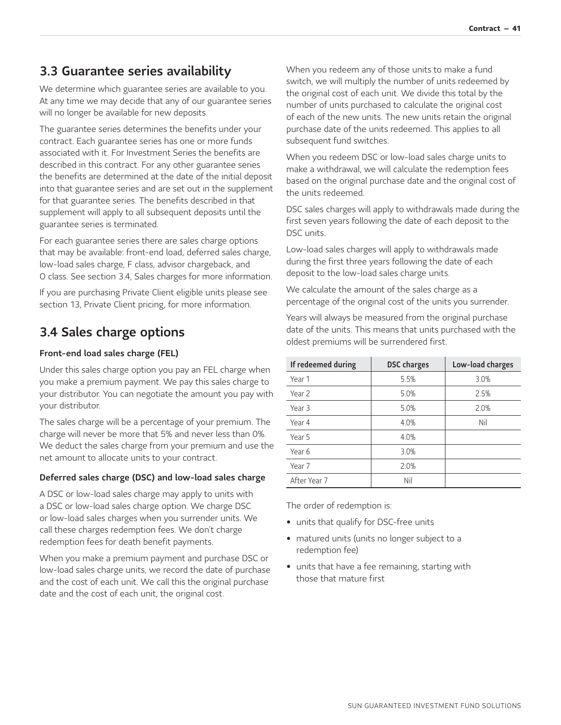### <span id="page-41-0"></span>3.3 Guarantee series availability

We determine which guarantee series are available to you. At any time we may decide that any of our guarantee series will no longer be available for new deposits.

The guarantee series determines the benefits under your contract. Each guarantee series has one or more funds associated with it. For Investment Series the benefits are described in this contract. For any other guarantee series the benefits are determined at the date of the initial deposit into that guarantee series and are set out in the supplement for that guarantee series. The benefits described in that supplement will apply to all subsequent deposits until the guarantee series is terminated.

For each guarantee series there are sales charge options that may be available: front-end load, deferred sales charge, low-load sales charge, F class, advisor chargeback, and O class. See section 3.4, Sales charges for more information.

If you are purchasing Private Client eligible units please see section 13, Private Client pricing, for more information.

## <span id="page-41-1"></span>3.4 Sales charge options

#### Front-end load sales charge (FEL)

Under this sales charge option you pay an FEL charge when you make a premium payment. We pay this sales charge to your distributor. You can negotiate the amount you pay with your distributor.

The sales charge will be a percentage of your premium. The charge will never be more that 5% and never less than 0%. We deduct the sales charge from your premium and use the net amount to allocate units to your contract.

#### Deferred sales charge (DSC) and low-load sales charge

A DSC or low-load sales charge may apply to units with a DSC or low-load sales charge option. We charge DSC or low-load sales charges when you surrender units. We call these charges redemption fees. We don't charge redemption fees for death benefit payments.

When you make a premium payment and purchase DSC or low-load sales charge units, we record the date of purchase and the cost of each unit. We call this the original purchase date and the cost of each unit, the original cost.

When you redeem any of those units to make a fund switch, we will multiply the number of units redeemed by the original cost of each unit. We divide this total by the number of units purchased to calculate the original cost of each of the new units. The new units retain the original purchase date of the units redeemed. This applies to all subsequent fund switches.

When you redeem DSC or low-load sales charge units to make a withdrawal, we will calculate the redemption fees based on the original purchase date and the original cost of the units redeemed.

DSC sales charges will apply to withdrawals made during the first seven years following the date of each deposit to the DSC units.

Low-load sales charges will apply to withdrawals made during the first three years following the date of each deposit to the low-load sales charge units.

We calculate the amount of the sales charge as a percentage of the original cost of the units you surrender.

Years will always be measured from the original purchase date of the units. This means that units purchased with the oldest premiums will be surrendered first.

| If redeemed during | <b>DSC</b> charges | Low-load charges |
|--------------------|--------------------|------------------|
| Year 1             | 5.5%               | 3.0%             |
| Year 2             | 5.0%               | 2.5%             |
| Year 3             | 5.0%               | 2.0%             |
| Year 4             | 4.0%               | Nil              |
| Year 5             | 4.0%               |                  |
| Year 6             | 3.0%               |                  |
| Year 7             | 2.0%               |                  |
| After Year 7       | Nil                |                  |

The order of redemption is:

- units that qualify for DSC-free units
- matured units (units no longer subject to a redemption fee)
- units that have a fee remaining, starting with those that mature first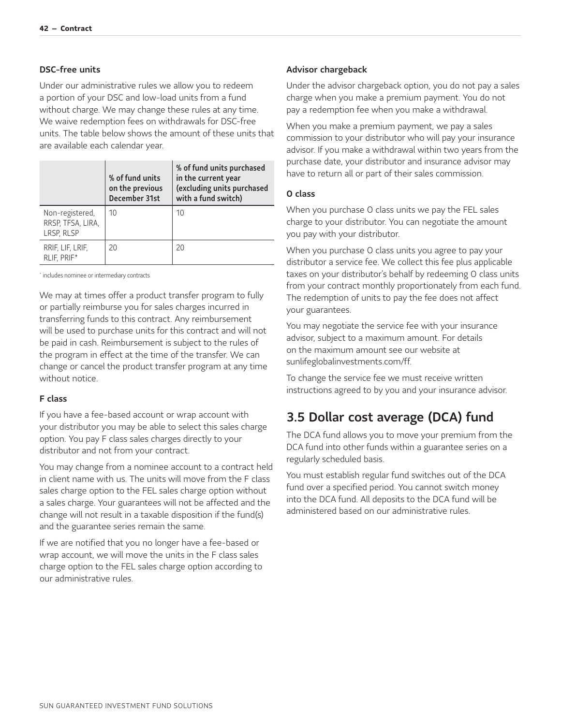#### DSC-free units

Under our administrative rules we allow you to redeem a portion of your DSC and low-load units from a fund without charge. We may change these rules at any time. We waive redemption fees on withdrawals for DSC-free units. The table below shows the amount of these units that are available each calendar year.

|                                                    | % of fund units<br>on the previous<br>December 31st | % of fund units purchased<br>in the current year<br>(excluding units purchased<br>with a fund switch) |
|----------------------------------------------------|-----------------------------------------------------|-------------------------------------------------------------------------------------------------------|
| Non-registered,<br>RRSP, TFSA, LIRA,<br>LRSP, RLSP | 10                                                  | 10                                                                                                    |
| RRIF, LIF, LRIF,<br>RLIF, PRIF*                    | 20                                                  | 20                                                                                                    |

<span id="page-42-2"></span><span id="page-42-1"></span>[\\*](#page-42-2) includes nominee or intermediary contracts

We may at times offer a product transfer program to fully or partially reimburse you for sales charges incurred in transferring funds to this contract. Any reimbursement will be used to purchase units for this contract and will not be paid in cash. Reimbursement is subject to the rules of the program in effect at the time of the transfer. We can change or cancel the product transfer program at any time without notice.

#### F class

If you have a fee-based account or wrap account with your distributor you may be able to select this sales charge option. You pay F class sales charges directly to your distributor and not from your contract.

You may change from a nominee account to a contract held in client name with us. The units will move from the F class sales charge option to the FEL sales charge option without a sales charge. Your guarantees will not be affected and the change will not result in a taxable disposition if the fund(s) and the guarantee series remain the same.

If we are notified that you no longer have a fee-based or wrap account, we will move the units in the F class sales charge option to the FEL sales charge option according to our administrative rules.

#### Advisor chargeback

Under the advisor chargeback option, you do not pay a sales charge when you make a premium payment. You do not pay a redemption fee when you make a withdrawal.

When you make a premium payment, we pay a sales commission to your distributor who will pay your insurance advisor. If you make a withdrawal within two years from the purchase date, your distributor and insurance advisor may have to return all or part of their sales commission.

#### O class

When you purchase O class units we pay the FEL sales charge to your distributor. You can negotiate the amount you pay with your distributor.

When you purchase O class units you agree to pay your distributor a service fee. We collect this fee plus applicable taxes on your distributor's behalf by redeeming O class units from your contract monthly proportionately from each fund. The redemption of units to pay the fee does not affect your guarantees.

You may negotiate the service fee with your insurance advisor, subject to a maximum amount. For details on the maximum amount see our website at [sunlifeglobalinvestments.com/ff.](http://sunlifeglobalinvestments.com/ff)

To change the service fee we must receive written instructions agreed to by you and your insurance advisor.

### <span id="page-42-0"></span>3.5 Dollar cost average (DCA) fund

The DCA fund allows you to move your premium from the DCA fund into other funds within a guarantee series on a regularly scheduled basis.

You must establish regular fund switches out of the DCA fund over a specified period. You cannot switch money into the DCA fund. All deposits to the DCA fund will be administered based on our administrative rules.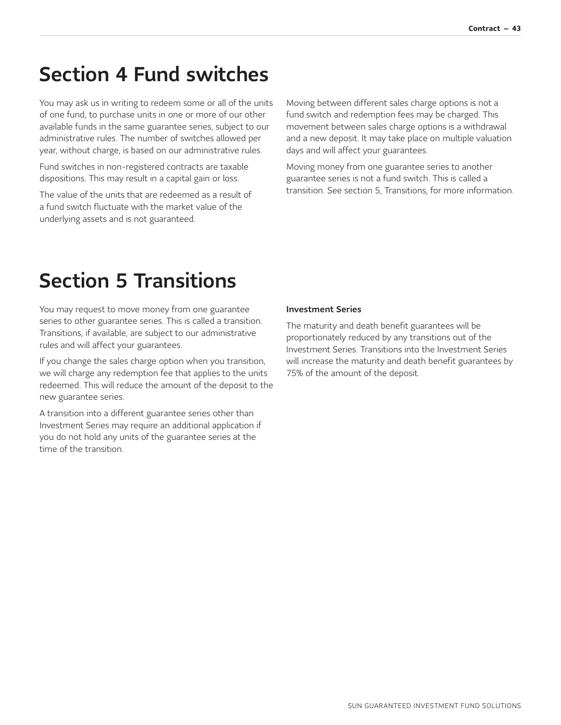## <span id="page-43-0"></span>Section 4 Fund switches

You may ask us in writing to redeem some or all of the units of one fund, to purchase units in one or more of our other available funds in the same guarantee series, subject to our administrative rules. The number of switches allowed per year, without charge, is based on our administrative rules.

Fund switches in non-registered contracts are taxable dispositions. This may result in a capital gain or loss.

The value of the units that are redeemed as a result of a fund switch fluctuate with the market value of the underlying assets and is not guaranteed.

Moving between different sales charge options is not a fund switch and redemption fees may be charged. This movement between sales charge options is a withdrawal and a new deposit. It may take place on multiple valuation days and will affect your guarantees.

Moving money from one guarantee series to another guarantee series is not a fund switch. This is called a transition. See section 5, Transitions, for more information.

# <span id="page-43-1"></span>Section 5 Transitions

You may request to move money from one guarantee series to other guarantee series. This is called a transition. Transitions, if available, are subject to our administrative rules and will affect your guarantees.

If you change the sales charge option when you transition, we will charge any redemption fee that applies to the units redeemed. This will reduce the amount of the deposit to the new guarantee series.

A transition into a different guarantee series other than Investment Series may require an additional application if you do not hold any units of the guarantee series at the time of the transition.

#### Investment Series

The maturity and death benefit guarantees will be proportionately reduced by any transitions out of the Investment Series. Transitions into the Investment Series will increase the maturity and death benefit guarantees by 75% of the amount of the deposit.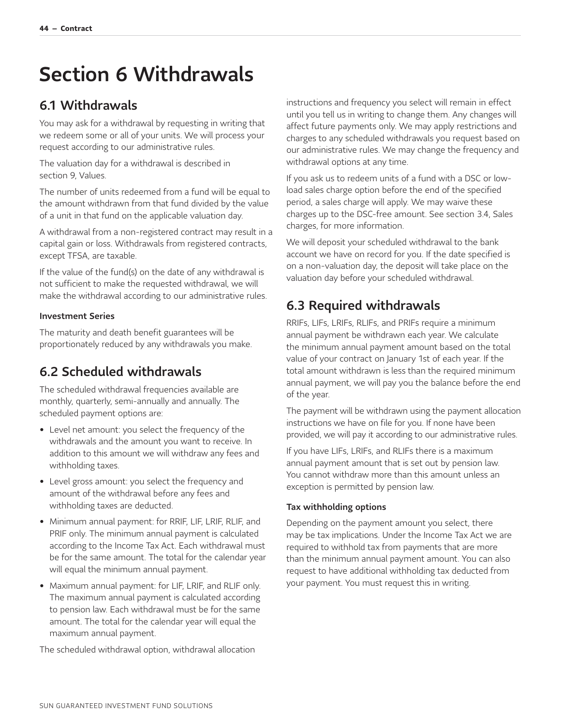# <span id="page-44-0"></span>Section 6 Withdrawals

### <span id="page-44-1"></span>6.1 Withdrawals

You may ask for a withdrawal by requesting in writing that we redeem some or all of your units. We will process your request according to our administrative rules.

The valuation day for a withdrawal is described in section 9, Values.

The number of units redeemed from a fund will be equal to the amount withdrawn from that fund divided by the value of a unit in that fund on the applicable valuation day.

A withdrawal from a non-registered contract may result in a capital gain or loss. Withdrawals from registered contracts, except TFSA, are taxable.

If the value of the fund(s) on the date of any withdrawal is not sufficient to make the requested withdrawal, we will make the withdrawal according to our administrative rules.

#### Investment Series

The maturity and death benefit guarantees will be proportionately reduced by any withdrawals you make.

## <span id="page-44-2"></span>6.2 Scheduled withdrawals

The scheduled withdrawal frequencies available are monthly, quarterly, semi-annually and annually. The scheduled payment options are:

- Level net amount: you select the frequency of the withdrawals and the amount you want to receive. In addition to this amount we will withdraw any fees and withholding taxes.
- Level gross amount: you select the frequency and amount of the withdrawal before any fees and withholding taxes are deducted.
- Minimum annual payment: for RRIF, LIF, LRIF, RLIF, and PRIF only. The minimum annual payment is calculated according to the Income Tax Act. Each withdrawal must be for the same amount. The total for the calendar year will equal the minimum annual payment.
- Maximum annual payment: for LIF, LRIF, and RLIF only. The maximum annual payment is calculated according to pension law. Each withdrawal must be for the same amount. The total for the calendar year will equal the maximum annual payment.

The scheduled withdrawal option, withdrawal allocation

instructions and frequency you select will remain in effect until you tell us in writing to change them. Any changes will affect future payments only. We may apply restrictions and charges to any scheduled withdrawals you request based on our administrative rules. We may change the frequency and withdrawal options at any time.

If you ask us to redeem units of a fund with a DSC or lowload sales charge option before the end of the specified period, a sales charge will apply. We may waive these charges up to the DSC-free amount. See section 3.4, Sales charges, for more information.

We will deposit your scheduled withdrawal to the bank account we have on record for you. If the date specified is on a non-valuation day, the deposit will take place on the valuation day before your scheduled withdrawal.

## <span id="page-44-3"></span>6.3 Required withdrawals

RRIFs, LIFs, LRIFs, RLIFs, and PRIFs require a minimum annual payment be withdrawn each year. We calculate the minimum annual payment amount based on the total value of your contract on January 1st of each year. If the total amount withdrawn is less than the required minimum annual payment, we will pay you the balance before the end of the year.

The payment will be withdrawn using the payment allocation instructions we have on file for you. If none have been provided, we will pay it according to our administrative rules.

If you have LIFs, LRIFs, and RLIFs there is a maximum annual payment amount that is set out by pension law. You cannot withdraw more than this amount unless an exception is permitted by pension law.

#### Tax withholding options

Depending on the payment amount you select, there may be tax implications. Under the Income Tax Act we are required to withhold tax from payments that are more than the minimum annual payment amount. You can also request to have additional withholding tax deducted from your payment. You must request this in writing.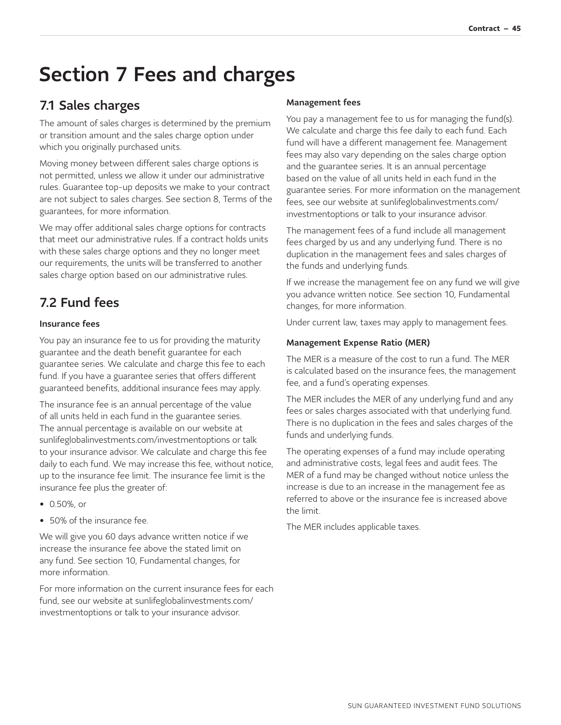# <span id="page-45-0"></span>Section 7 Fees and charges

## <span id="page-45-1"></span>7.1 Sales charges

The amount of sales charges is determined by the premium or transition amount and the sales charge option under which you originally purchased units.

Moving money between different sales charge options is not permitted, unless we allow it under our administrative rules. Guarantee top-up deposits we make to your contract are not subject to sales charges. See section 8, Terms of the guarantees, for more information.

We may offer additional sales charge options for contracts that meet our administrative rules. If a contract holds units with these sales charge options and they no longer meet our requirements, the units will be transferred to another sales charge option based on our administrative rules.

## <span id="page-45-2"></span>7.2 Fund fees

#### Insurance fees

You pay an insurance fee to us for providing the maturity guarantee and the death benefit guarantee for each guarantee series. We calculate and charge this fee to each fund. If you have a guarantee series that offers different guaranteed benefits, additional insurance fees may apply.

The insurance fee is an annual percentage of the value of all units held in each fund in the guarantee series. The annual percentage is available on our website at [sunlifeglobalinvestments.com/investmentoptions](http://sunlifeglobalinvestments.com/investmentoptions) or talk to your insurance advisor. We calculate and charge this fee daily to each fund. We may increase this fee, without notice, up to the insurance fee limit. The insurance fee limit is the insurance fee plus the greater of:

- 0.50%, or
- 50% of the insurance fee.

We will give you 60 days advance written notice if we increase the insurance fee above the stated limit on any fund. See section 10, Fundamental changes, for more information.

For more information on the current insurance fees for each [fund, see our website at sunlifeglobalinvestments.com/](http://sunlifeglobalinvestments.com/investmentoptions) investmentoptions or talk to your insurance advisor.

#### Management fees

You pay a management fee to us for managing the fund(s). We calculate and charge this fee daily to each fund. Each fund will have a different management fee. Management fees may also vary depending on the sales charge option and the guarantee series. It is an annual percentage based on the value of all units held in each fund in the guarantee series. For more information on the management [fees, see our website at sunlifeglobalinvestments.com/](http://sunlifeglobalinvestments.com/investmentoptions) investmentoptions or talk to your insurance advisor.

The management fees of a fund include all management fees charged by us and any underlying fund. There is no duplication in the management fees and sales charges of the funds and underlying funds.

If we increase the management fee on any fund we will give you advance written notice. See section 10, Fundamental changes, for more information.

Under current law, taxes may apply to management fees.

#### Management Expense Ratio (MER)

The MER is a measure of the cost to run a fund. The MER is calculated based on the insurance fees, the management fee, and a fund's operating expenses.

The MER includes the MER of any underlying fund and any fees or sales charges associated with that underlying fund. There is no duplication in the fees and sales charges of the funds and underlying funds.

The operating expenses of a fund may include operating and administrative costs, legal fees and audit fees. The MER of a fund may be changed without notice unless the increase is due to an increase in the management fee as referred to above or the insurance fee is increased above the limit.

The MER includes applicable taxes.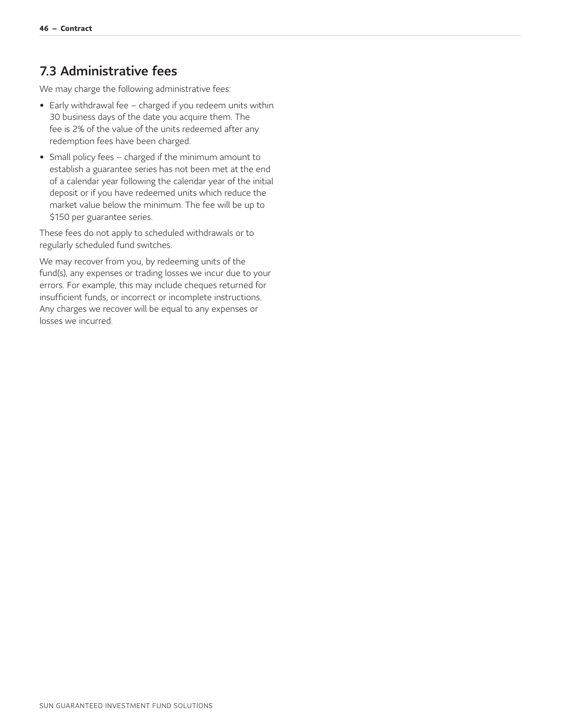### <span id="page-46-0"></span>7.3 Administrative fees

We may charge the following administrative fees:

- Early withdrawal fee charged if you redeem units within 30 business days of the date you acquire them. The fee is 2% of the value of the units redeemed after any redemption fees have been charged.
- Small policy fees charged if the minimum amount to establish a guarantee series has not been met at the end of a calendar year following the calendar year of the initial deposit or if you have redeemed units which reduce the market value below the minimum. The fee will be up to \$150 per guarantee series.

These fees do not apply to scheduled withdrawals or to regularly scheduled fund switches.

We may recover from you, by redeeming units of the fund(s), any expenses or trading losses we incur due to your errors. For example, this may include cheques returned for insufficient funds, or incorrect or incomplete instructions. Any charges we recover will be equal to any expenses or losses we incurred.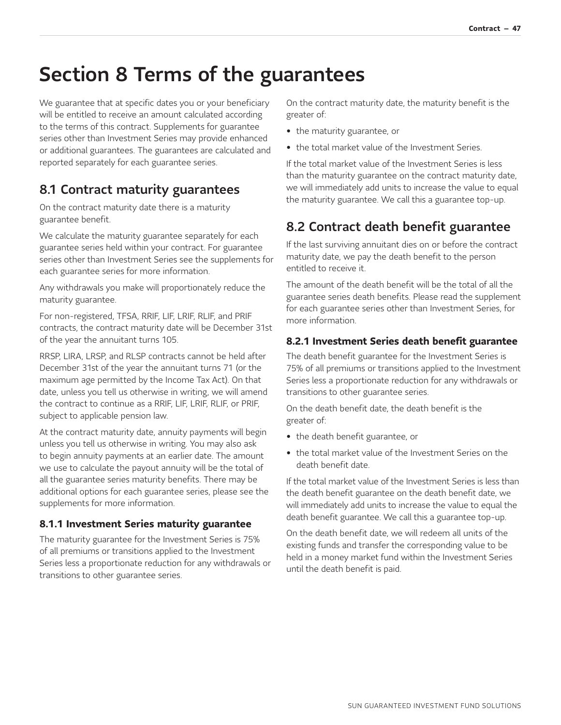# <span id="page-47-0"></span>Section 8 Terms of the guarantees

We guarantee that at specific dates you or your beneficiary will be entitled to receive an amount calculated according to the terms of this contract. Supplements for guarantee series other than Investment Series may provide enhanced or additional guarantees. The guarantees are calculated and reported separately for each guarantee series.

## <span id="page-47-1"></span>8.1 Contract maturity guarantees

On the contract maturity date there is a maturity guarantee benefit.

We calculate the maturity guarantee separately for each guarantee series held within your contract. For guarantee series other than Investment Series see the supplements for each guarantee series for more information.

Any withdrawals you make will proportionately reduce the maturity guarantee.

For non-registered, TFSA, RRIF, LIF, LRIF, RLIF, and PRIF contracts, the contract maturity date will be December 31st of the year the annuitant turns 105.

RRSP, LIRA, LRSP, and RLSP contracts cannot be held after December 31st of the year the annuitant turns 71 (or the maximum age permitted by the Income Tax Act). On that date, unless you tell us otherwise in writing, we will amend the contract to continue as a RRIF, LIF, LRIF, RLIF, or PRIF, subject to applicable pension law.

At the contract maturity date, annuity payments will begin unless you tell us otherwise in writing. You may also ask to begin annuity payments at an earlier date. The amount we use to calculate the payout annuity will be the total of all the guarantee series maturity benefits. There may be additional options for each guarantee series, please see the supplements for more information.

#### <span id="page-47-2"></span>**8.1.1 Investment Series maturity guarantee**

The maturity guarantee for the Investment Series is 75% of all premiums or transitions applied to the Investment Series less a proportionate reduction for any withdrawals or transitions to other guarantee series.

On the contract maturity date, the maturity benefit is the greater of:

- the maturity guarantee, or
- the total market value of the Investment Series.

If the total market value of the Investment Series is less than the maturity guarantee on the contract maturity date, we will immediately add units to increase the value to equal the maturity guarantee. We call this a guarantee top-up.

## <span id="page-47-3"></span>8.2 Contract death benefit guarantee

If the last surviving annuitant dies on or before the contract maturity date, we pay the death benefit to the person entitled to receive it.

The amount of the death benefit will be the total of all the guarantee series death benefits. Please read the supplement for each guarantee series other than Investment Series, for more information.

#### <span id="page-47-4"></span>**8.2.1 Investment Series death benefit guarantee**

The death benefit guarantee for the Investment Series is 75% of all premiums or transitions applied to the Investment Series less a proportionate reduction for any withdrawals or transitions to other guarantee series.

On the death benefit date, the death benefit is the greater of:

- the death benefit guarantee, or
- the total market value of the Investment Series on the death benefit date.

If the total market value of the Investment Series is less than the death benefit guarantee on the death benefit date, we will immediately add units to increase the value to equal the death benefit guarantee. We call this a guarantee top-up.

On the death benefit date, we will redeem all units of the existing funds and transfer the corresponding value to be held in a money market fund within the Investment Series until the death benefit is paid.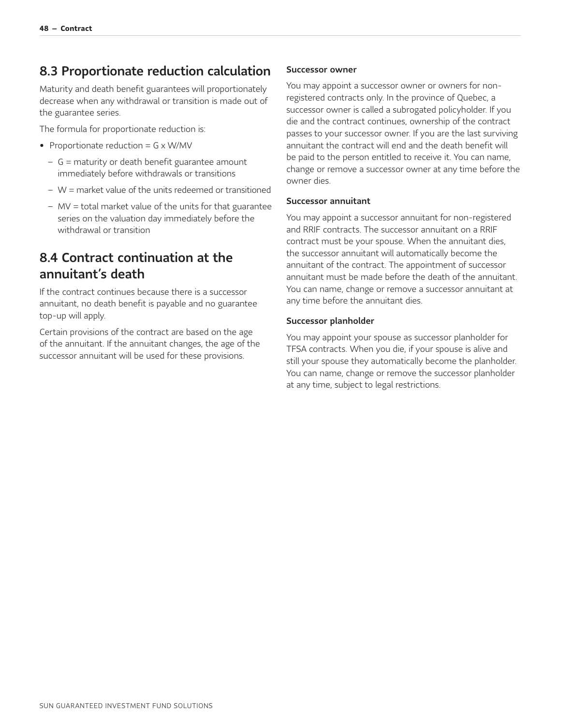### <span id="page-48-0"></span>8.3 Proportionate reduction calculation

Maturity and death benefit guarantees will proportionately decrease when any withdrawal or transition is made out of the guarantee series.

The formula for proportionate reduction is:

- Proportionate reduction =  $G \times W/MV$ 
	- − G = maturity or death benefit guarantee amount immediately before withdrawals or transitions
	- − W = market value of the units redeemed or transitioned
	- − MV = total market value of the units for that guarantee series on the valuation day immediately before the withdrawal or transition

### <span id="page-48-1"></span>8.4 Contract continuation at the annuitant's death

If the contract continues because there is a successor annuitant, no death benefit is payable and no guarantee top-up will apply.

Certain provisions of the contract are based on the age of the annuitant. If the annuitant changes, the age of the successor annuitant will be used for these provisions.

#### Successor owner

You may appoint a successor owner or owners for nonregistered contracts only. In the province of Quebec, a successor owner is called a subrogated policyholder. If you die and the contract continues, ownership of the contract passes to your successor owner. If you are the last surviving annuitant the contract will end and the death benefit will be paid to the person entitled to receive it. You can name, change or remove a successor owner at any time before the owner dies.

#### Successor annuitant

You may appoint a successor annuitant for non-registered and RRIF contracts. The successor annuitant on a RRIF contract must be your spouse. When the annuitant dies, the successor annuitant will automatically become the annuitant of the contract. The appointment of successor annuitant must be made before the death of the annuitant. You can name, change or remove a successor annuitant at any time before the annuitant dies.

#### Successor planholder

You may appoint your spouse as successor planholder for TFSA contracts. When you die, if your spouse is alive and still your spouse they automatically become the planholder. You can name, change or remove the successor planholder at any time, subject to legal restrictions.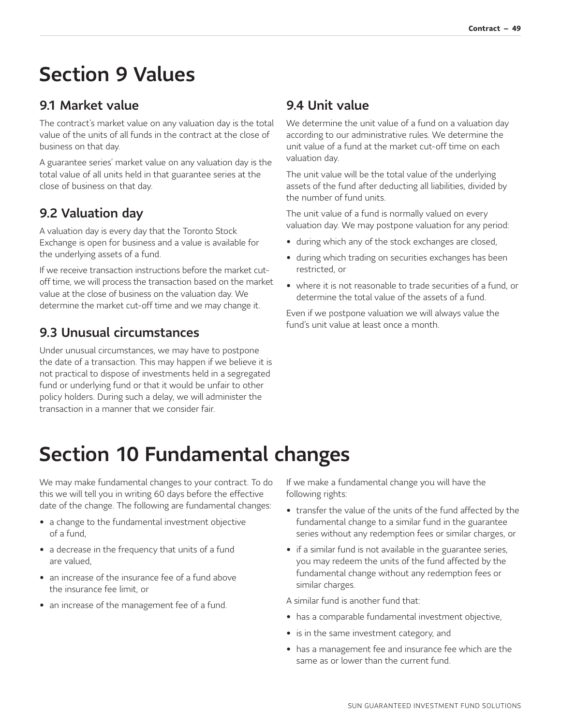# <span id="page-49-0"></span>Section 9 Values

### <span id="page-49-1"></span>9.1 Market value

The contract's market value on any valuation day is the total value of the units of all funds in the contract at the close of business on that day.

A guarantee series' market value on any valuation day is the total value of all units held in that guarantee series at the close of business on that day.

## <span id="page-49-2"></span>9.2 Valuation day

A valuation day is every day that the Toronto Stock Exchange is open for business and a value is available for the underlying assets of a fund.

If we receive transaction instructions before the market cutoff time, we will process the transaction based on the market value at the close of business on the valuation day. We determine the market cut-off time and we may change it.

### <span id="page-49-3"></span>9.3 Unusual circumstances

Under unusual circumstances, we may have to postpone the date of a transaction. This may happen if we believe it is not practical to dispose of investments held in a segregated fund or underlying fund or that it would be unfair to other policy holders. During such a delay, we will administer the transaction in a manner that we consider fair.

### <span id="page-49-4"></span>9.4 Unit value

We determine the unit value of a fund on a valuation day according to our administrative rules. We determine the unit value of a fund at the market cut-off time on each valuation day.

The unit value will be the total value of the underlying assets of the fund after deducting all liabilities, divided by the number of fund units.

The unit value of a fund is normally valued on every valuation day. We may postpone valuation for any period:

- during which any of the stock exchanges are closed,
- during which trading on securities exchanges has been restricted, or
- where it is not reasonable to trade securities of a fund, or determine the total value of the assets of a fund.

Even if we postpone valuation we will always value the fund's unit value at least once a month.

# <span id="page-49-5"></span>Section 10 Fundamental changes

We may make fundamental changes to your contract. To do this we will tell you in writing 60 days before the effective date of the change. The following are fundamental changes:

- a change to the fundamental investment objective of a fund,
- a decrease in the frequency that units of a fund are valued,
- an increase of the insurance fee of a fund above the insurance fee limit, or
- an increase of the management fee of a fund.

If we make a fundamental change you will have the following rights:

- transfer the value of the units of the fund affected by the fundamental change to a similar fund in the guarantee series without any redemption fees or similar charges, or
- if a similar fund is not available in the guarantee series, you may redeem the units of the fund affected by the fundamental change without any redemption fees or similar charges.

A similar fund is another fund that:

- has a comparable fundamental investment objective,
- is in the same investment category, and
- has a management fee and insurance fee which are the same as or lower than the current fund.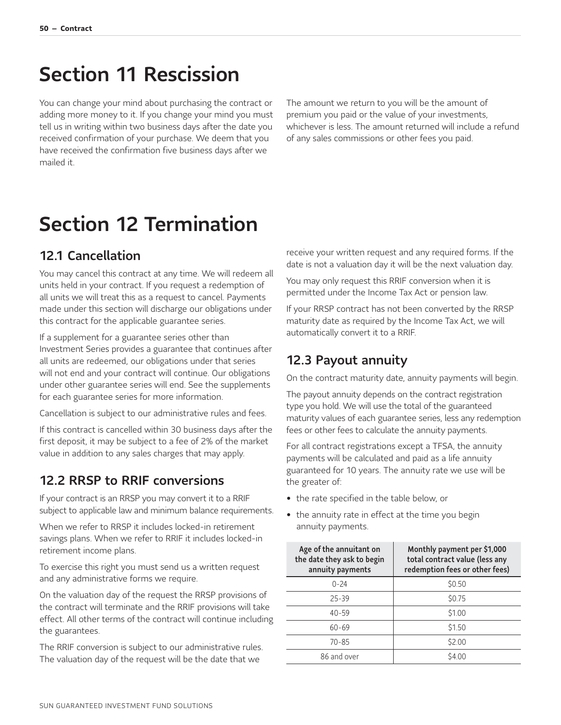## <span id="page-50-0"></span>Section 11 Rescission

You can change your mind about purchasing the contract or adding more money to it. If you change your mind you must tell us in writing within two business days after the date you received confirmation of your purchase. We deem that you have received the confirmation five business days after we mailed it.

The amount we return to you will be the amount of premium you paid or the value of your investments, whichever is less. The amount returned will include a refund of any sales commissions or other fees you paid.

# <span id="page-50-1"></span>Section 12 Termination

### <span id="page-50-2"></span>12.1 Cancellation

You may cancel this contract at any time. We will redeem all units held in your contract. If you request a redemption of all units we will treat this as a request to cancel. Payments made under this section will discharge our obligations under this contract for the applicable guarantee series.

If a supplement for a guarantee series other than Investment Series provides a guarantee that continues after all units are redeemed, our obligations under that series will not end and your contract will continue. Our obligations under other guarantee series will end. See the supplements for each guarantee series for more information.

Cancellation is subject to our administrative rules and fees.

If this contract is cancelled within 30 business days after the first deposit, it may be subject to a fee of 2% of the market value in addition to any sales charges that may apply.

### <span id="page-50-3"></span>12.2 RRSP to RRIF conversions

If your contract is an RRSP you may convert it to a RRIF subject to applicable law and minimum balance requirements.

When we refer to RRSP it includes locked-in retirement savings plans. When we refer to RRIF it includes locked-in retirement income plans.

To exercise this right you must send us a written request and any administrative forms we require.

On the valuation day of the request the RRSP provisions of the contract will terminate and the RRIF provisions will take effect. All other terms of the contract will continue including the guarantees.

The RRIF conversion is subject to our administrative rules. The valuation day of the request will be the date that we

receive your written request and any required forms. If the date is not a valuation day it will be the next valuation day.

You may only request this RRIF conversion when it is permitted under the Income Tax Act or pension law.

If your RRSP contract has not been converted by the RRSP maturity date as required by the Income Tax Act, we will automatically convert it to a RRIF.

### <span id="page-50-4"></span>12.3 Payout annuity

On the contract maturity date, annuity payments will begin.

The payout annuity depends on the contract registration type you hold. We will use the total of the guaranteed maturity values of each guarantee series, less any redemption fees or other fees to calculate the annuity payments.

For all contract registrations except a TFSA, the annuity payments will be calculated and paid as a life annuity guaranteed for 10 years. The annuity rate we use will be the greater of:

- the rate specified in the table below, or
- the annuity rate in effect at the time you begin annuity payments.

| Age of the annuitant on<br>the date they ask to begin<br>annuity payments | Monthly payment per \$1,000<br>total contract value (less any<br>redemption fees or other fees) |
|---------------------------------------------------------------------------|-------------------------------------------------------------------------------------------------|
| $0 - 24$                                                                  | \$0.50                                                                                          |
| 25-39                                                                     | \$0.75                                                                                          |
| $40 - 59$                                                                 | \$1.00                                                                                          |
| $60 - 69$                                                                 | \$1.50                                                                                          |
| 70-85                                                                     | \$2.00                                                                                          |
| 86 and over                                                               | \$4.00                                                                                          |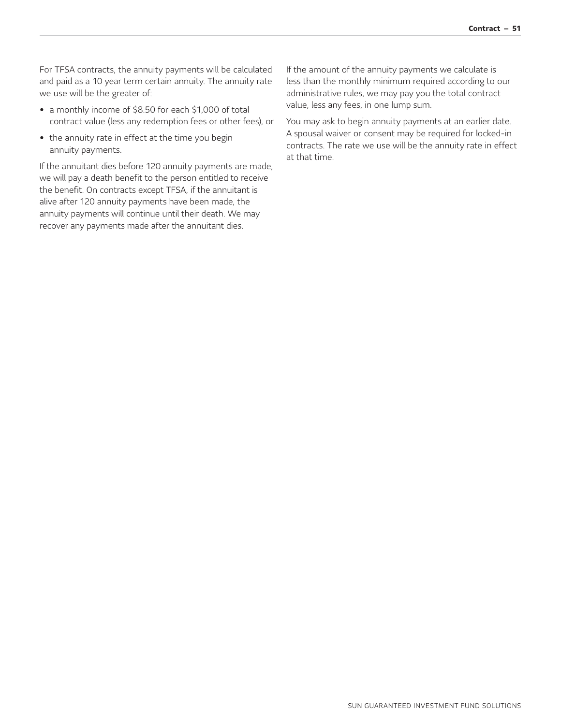For TFSA contracts, the annuity payments will be calculated and paid as a 10 year term certain annuity. The annuity rate we use will be the greater of:

- a monthly income of \$8.50 for each \$1,000 of total contract value (less any redemption fees or other fees), or
- the annuity rate in effect at the time you begin annuity payments.

If the annuitant dies before 120 annuity payments are made, we will pay a death benefit to the person entitled to receive the benefit. On contracts except TFSA, if the annuitant is alive after 120 annuity payments have been made, the annuity payments will continue until their death. We may recover any payments made after the annuitant dies.

If the amount of the annuity payments we calculate is less than the monthly minimum required according to our administrative rules, we may pay you the total contract value, less any fees, in one lump sum.

You may ask to begin annuity payments at an earlier date. A spousal waiver or consent may be required for locked-in contracts. The rate we use will be the annuity rate in effect at that time.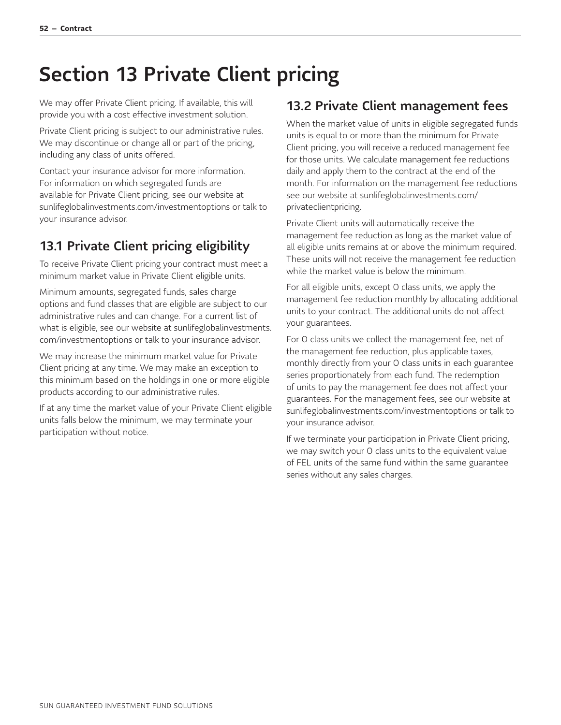# <span id="page-52-0"></span>Section 13 Private Client pricing

We may offer Private Client pricing. If available, this will provide you with a cost effective investment solution.

Private Client pricing is subject to our administrative rules. We may discontinue or change all or part of the pricing, including any class of units offered.

Contact your insurance advisor for more information. For information on which segregated funds are available for Private Client pricing, see our website at [sunlifeglobalinvestments.com/investmentoptions](http://sunlifeglobalinvestments.com/investmentoptions) or talk to your insurance advisor.

## <span id="page-52-1"></span>13.1 Private Client pricing eligibility

To receive Private Client pricing your contract must meet a minimum market value in Private Client eligible units.

Minimum amounts, segregated funds, sales charge options and fund classes that are eligible are subject to our administrative rules and can change. For a current list of [what is eligible, see our website at sunlifeglobalinvestments.](http://sunlifeglobalinvestments.com/investmentoptions) com/investmentoptions or talk to your insurance advisor.

We may increase the minimum market value for Private Client pricing at any time. We may make an exception to this minimum based on the holdings in one or more eligible products according to our administrative rules.

If at any time the market value of your Private Client eligible units falls below the minimum, we may terminate your participation without notice.

### <span id="page-52-2"></span>13.2 Private Client management fees

When the market value of units in eligible segregated funds units is equal to or more than the minimum for Private Client pricing, you will receive a reduced management fee for those units. We calculate management fee reductions daily and apply them to the contract at the end of the month. For information on the management fee reductions [see our website at sunlifeglobalinvestments.com/](http://sunlifeglobalinvestments.com/privateclientpricing) privateclientpricing.

Private Client units will automatically receive the management fee reduction as long as the market value of all eligible units remains at or above the minimum required. These units will not receive the management fee reduction while the market value is below the minimum.

For all eligible units, except O class units, we apply the management fee reduction monthly by allocating additional units to your contract. The additional units do not affect your guarantees.

For O class units we collect the management fee, net of the management fee reduction, plus applicable taxes, monthly directly from your O class units in each guarantee series proportionately from each fund. The redemption of units to pay the management fee does not affect your guarantees. For the management fees, see our website at [sunlifeglobalinvestments.com/investmentoptions](http://sunlifeglobalinvestments.com/investmentoptions) or talk to your insurance advisor.

If we terminate your participation in Private Client pricing, we may switch your O class units to the equivalent value of FEL units of the same fund within the same guarantee series without any sales charges.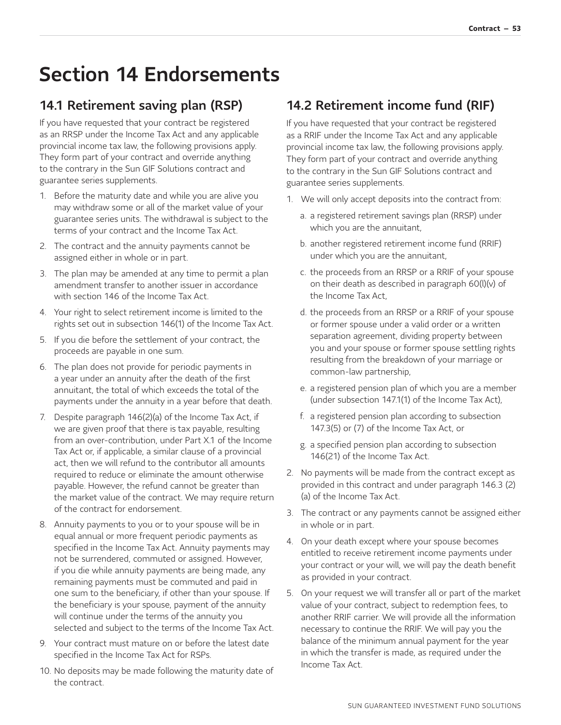# <span id="page-53-0"></span>Section 14 Endorsements

## <span id="page-53-1"></span>14.1 Retirement saving plan (RSP)

If you have requested that your contract be registered as an RRSP under the Income Tax Act and any applicable provincial income tax law, the following provisions apply. They form part of your contract and override anything to the contrary in the Sun GIF Solutions contract and guarantee series supplements.

- 1. Before the maturity date and while you are alive you may withdraw some or all of the market value of your guarantee series units. The withdrawal is subject to the terms of your contract and the Income Tax Act.
- 2. The contract and the annuity payments cannot be assigned either in whole or in part.
- 3. The plan may be amended at any time to permit a plan amendment transfer to another issuer in accordance with section 146 of the Income Tax Act.
- 4. Your right to select retirement income is limited to the rights set out in subsection 146(1) of the Income Tax Act.
- 5. If you die before the settlement of your contract, the proceeds are payable in one sum.
- 6. The plan does not provide for periodic payments in a year under an annuity after the death of the first annuitant, the total of which exceeds the total of the payments under the annuity in a year before that death.
- 7. Despite paragraph 146(2)(a) of the Income Tax Act, if we are given proof that there is tax payable, resulting from an over-contribution, under Part X.1 of the Income Tax Act or, if applicable, a similar clause of a provincial act, then we will refund to the contributor all amounts required to reduce or eliminate the amount otherwise payable. However, the refund cannot be greater than the market value of the contract. We may require return of the contract for endorsement.
- 8. Annuity payments to you or to your spouse will be in equal annual or more frequent periodic payments as specified in the Income Tax Act. Annuity payments may not be surrendered, commuted or assigned. However, if you die while annuity payments are being made, any remaining payments must be commuted and paid in one sum to the beneficiary, if other than your spouse. If the beneficiary is your spouse, payment of the annuity will continue under the terms of the annuity you selected and subject to the terms of the Income Tax Act.
- 9. Your contract must mature on or before the latest date specified in the Income Tax Act for RSPs.
- 10. No deposits may be made following the maturity date of the contract.

## <span id="page-53-2"></span>14.2 Retirement income fund (RIF)

If you have requested that your contract be registered as a RRIF under the Income Tax Act and any applicable provincial income tax law, the following provisions apply. They form part of your contract and override anything to the contrary in the Sun GIF Solutions contract and guarantee series supplements.

- 1. We will only accept deposits into the contract from:
	- a. a registered retirement savings plan (RRSP) under which you are the annuitant,
	- b. another registered retirement income fund (RRIF) under which you are the annuitant,
	- c. the proceeds from an RRSP or a RRIF of your spouse on their death as described in paragraph 60(l)(v) of the Income Tax Act,
	- d. the proceeds from an RRSP or a RRIF of your spouse or former spouse under a valid order or a written separation agreement, dividing property between you and your spouse or former spouse settling rights resulting from the breakdown of your marriage or common-law partnership,
	- e. a registered pension plan of which you are a member (under subsection 147.1(1) of the Income Tax Act),
	- f. a registered pension plan according to subsection 147.3(5) or (7) of the Income Tax Act, or
	- g. a specified pension plan according to subsection 146(21) of the Income Tax Act.
- 2. No payments will be made from the contract except as provided in this contract and under paragraph 146.3 (2) (a) of the Income Tax Act.
- 3. The contract or any payments cannot be assigned either in whole or in part.
- 4. On your death except where your spouse becomes entitled to receive retirement income payments under your contract or your will, we will pay the death benefit as provided in your contract.
- 5. On your request we will transfer all or part of the market value of your contract, subject to redemption fees, to another RRIF carrier. We will provide all the information necessary to continue the RRIF. We will pay you the balance of the minimum annual payment for the year in which the transfer is made, as required under the Income Tax Act.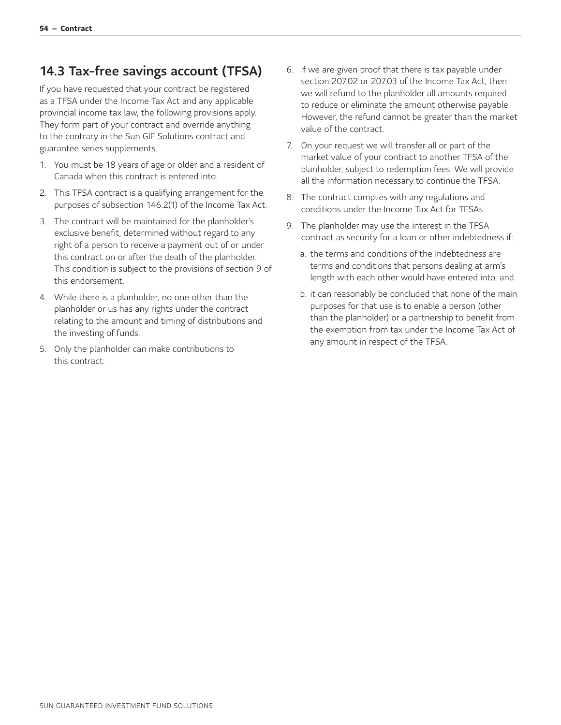### <span id="page-54-0"></span>14.3 Tax-free savings account (TFSA)

If you have requested that your contract be registered as a TFSA under the Income Tax Act and any applicable provincial income tax law, the following provisions apply. They form part of your contract and override anything to the contrary in the Sun GIF Solutions contract and guarantee series supplements.

- 1. You must be 18 years of age or older and a resident of Canada when this contract is entered into.
- 2. This TFSA contract is a qualifying arrangement for the purposes of subsection 146.2(1) of the Income Tax Act.
- 3. The contract will be maintained for the planholder's exclusive benefit, determined without regard to any right of a person to receive a payment out of or under this contract on or after the death of the planholder. This condition is subject to the provisions of section 9 of this endorsement.
- 4. While there is a planholder, no one other than the planholder or us has any rights under the contract relating to the amount and timing of distributions and the investing of funds.
- 5. Only the planholder can make contributions to this contract.
- 6. If we are given proof that there is tax payable under section 207.02 or 207.03 of the Income Tax Act, then we will refund to the planholder all amounts required to reduce or eliminate the amount otherwise payable. However, the refund cannot be greater than the market value of the contract.
- 7. On your request we will transfer all or part of the market value of your contract to another TFSA of the planholder, subject to redemption fees. We will provide all the information necessary to continue the TFSA.
- 8. The contract complies with any regulations and conditions under the Income Tax Act for TFSAs.
- 9. The planholder may use the interest in the TFSA contract as security for a loan or other indebtedness if:
	- a. the terms and conditions of the indebtedness are terms and conditions that persons dealing at arm's length with each other would have entered into, and
	- b. it can reasonably be concluded that none of the main purposes for that use is to enable a person (other than the planholder) or a partnership to benefit from the exemption from tax under the Income Tax Act of any amount in respect of the TFSA.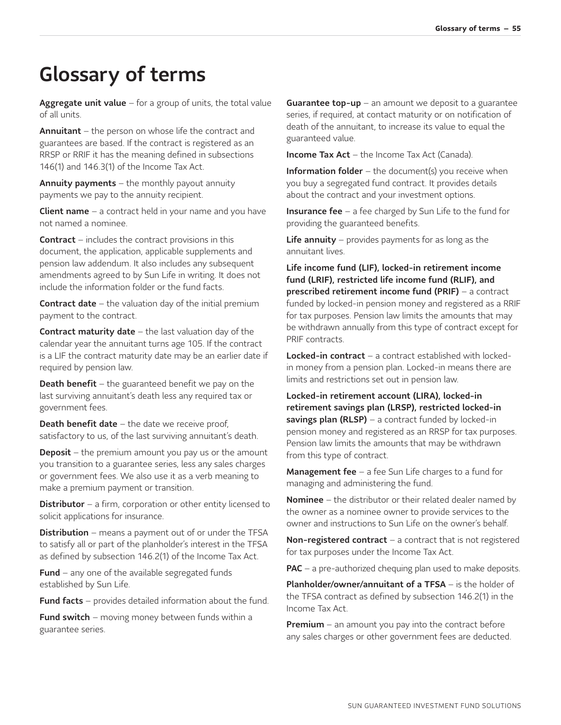# <span id="page-55-0"></span>Glossary of terms

Aggregate unit value  $-$  for a group of units, the total value of all units.

Annuitant – the person on whose life the contract and guarantees are based. If the contract is registered as an RRSP or RRIF it has the meaning defined in subsections 146(1) and 146.3(1) of the Income Tax Act.

**Annuity payments**  $-$  the monthly payout annuity payments we pay to the annuity recipient.

**Client name**  $-$  a contract held in your name and you have not named a nominee.

Contract – includes the contract provisions in this document, the application, applicable supplements and pension law addendum. It also includes any subsequent amendments agreed to by Sun Life in writing. It does not include the information folder or the fund facts.

**Contract date**  $-$  the valuation day of the initial premium payment to the contract.

**Contract maturity date**  $-$  the last valuation day of the calendar year the annuitant turns age 105. If the contract is a LIF the contract maturity date may be an earlier date if required by pension law.

**Death benefit** – the guaranteed benefit we pay on the last surviving annuitant's death less any required tax or government fees.

**Death benefit date**  $-$  the date we receive proof, satisfactory to us, of the last surviving annuitant's death.

**Deposit** – the premium amount you pay us or the amount you transition to a guarantee series, less any sales charges or government fees. We also use it as a verb meaning to make a premium payment or transition.

**Distributor** – a firm, corporation or other entity licensed to solicit applications for insurance.

**Distribution** – means a payment out of or under the TFSA to satisfy all or part of the planholder's interest in the TFSA as defined by subsection 146.2(1) of the Income Tax Act.

**Fund** – any one of the available segregated funds established by Sun Life.

**Fund facts** – provides detailed information about the fund.

**Fund switch** – moving money between funds within a guarantee series.

**Guarantee top-up** – an amount we deposit to a guarantee series, if required, at contact maturity or on notification of death of the annuitant, to increase its value to equal the guaranteed value.

**Income Tax Act** – the Income Tax Act (Canada).

**Information folder** – the document(s) you receive when you buy a segregated fund contract. It provides details about the contract and your investment options.

Insurance fee - a fee charged by Sun Life to the fund for providing the guaranteed benefits.

**Life annuity** – provides payments for as long as the annuitant lives.

Life income fund (LIF), locked-in retirement income fund (LRIF), restricted life income fund (RLIF), and prescribed retirement income fund (PRIF) – a contract funded by locked-in pension money and registered as a RRIF for tax purposes. Pension law limits the amounts that may be withdrawn annually from this type of contract except for PRIF contracts.

Locked-in contract – a contract established with lockedin money from a pension plan. Locked-in means there are limits and restrictions set out in pension law.

Locked-in retirement account (LIRA), locked-in retirement savings plan (LRSP), restricted locked-in savings plan (RLSP) – a contract funded by locked-in pension money and registered as an RRSP for tax purposes. Pension law limits the amounts that may be withdrawn from this type of contract.

**Management fee**  $-$  a fee Sun Life charges to a fund for managing and administering the fund.

**Nominee** – the distributor or their related dealer named by the owner as a nominee owner to provide services to the owner and instructions to Sun Life on the owner's behalf.

Non-registered contract  $-$  a contract that is not registered for tax purposes under the Income Tax Act.

**PAC** – a pre-authorized chequing plan used to make deposits.

Planholder/owner/annuitant of a TFSA – is the holder of the TFSA contract as defined by subsection 146.2(1) in the Income Tax Act.

**Premium** – an amount you pay into the contract before any sales charges or other government fees are deducted.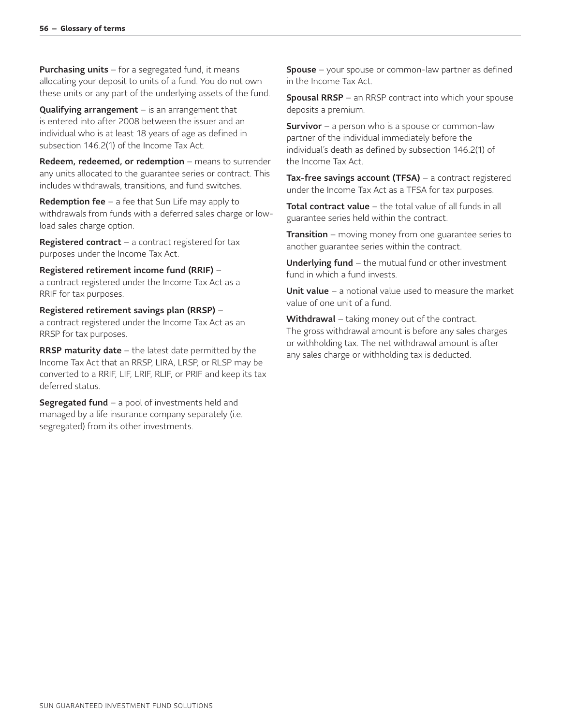**Purchasing units**  $-$  for a segregated fund, it means allocating your deposit to units of a fund. You do not own these units or any part of the underlying assets of the fund.

**Qualifying arrangement**  $-$  is an arrangement that is entered into after 2008 between the issuer and an individual who is at least 18 years of age as defined in subsection 146.2(1) of the Income Tax Act.

Redeem, redeemed, or redemption - means to surrender any units allocated to the guarantee series or contract. This includes withdrawals, transitions, and fund switches.

Redemption fee  $-$  a fee that Sun Life may apply to withdrawals from funds with a deferred sales charge or lowload sales charge option.

**Registered contract** – a contract registered for tax purposes under the Income Tax Act.

Registered retirement income fund (RRIF) – a contract registered under the Income Tax Act as a RRIF for tax purposes.

#### Registered retirement savings plan (RRSP) –

a contract registered under the Income Tax Act as an RRSP for tax purposes.

**RRSP maturity date**  $-$  the latest date permitted by the Income Tax Act that an RRSP, LIRA, LRSP, or RLSP may be converted to a RRIF, LIF, LRIF, RLIF, or PRIF and keep its tax deferred status.

**Segregated fund**  $-$  a pool of investments held and managed by a life insurance company separately (i.e. segregated) from its other investments.

**Spouse** – your spouse or common-law partner as defined in the Income Tax Act.

Spousal RRSP – an RRSP contract into which your spouse deposits a premium.

**Survivor** – a person who is a spouse or common-law partner of the individual immediately before the individual's death as defined by subsection 146.2(1) of the Income Tax Act.

Tax-free savings account (TFSA) - a contract registered under the Income Tax Act as a TFSA for tax purposes.

Total contract value - the total value of all funds in all guarantee series held within the contract.

**Transition** – moving money from one guarantee series to another guarantee series within the contract.

**Underlying fund**  $-$  the mutual fund or other investment fund in which a fund invests.

Unit value – a notional value used to measure the market value of one unit of a fund.

Withdrawal – taking money out of the contract. The gross withdrawal amount is before any sales charges or withholding tax. The net withdrawal amount is after any sales charge or withholding tax is deducted.